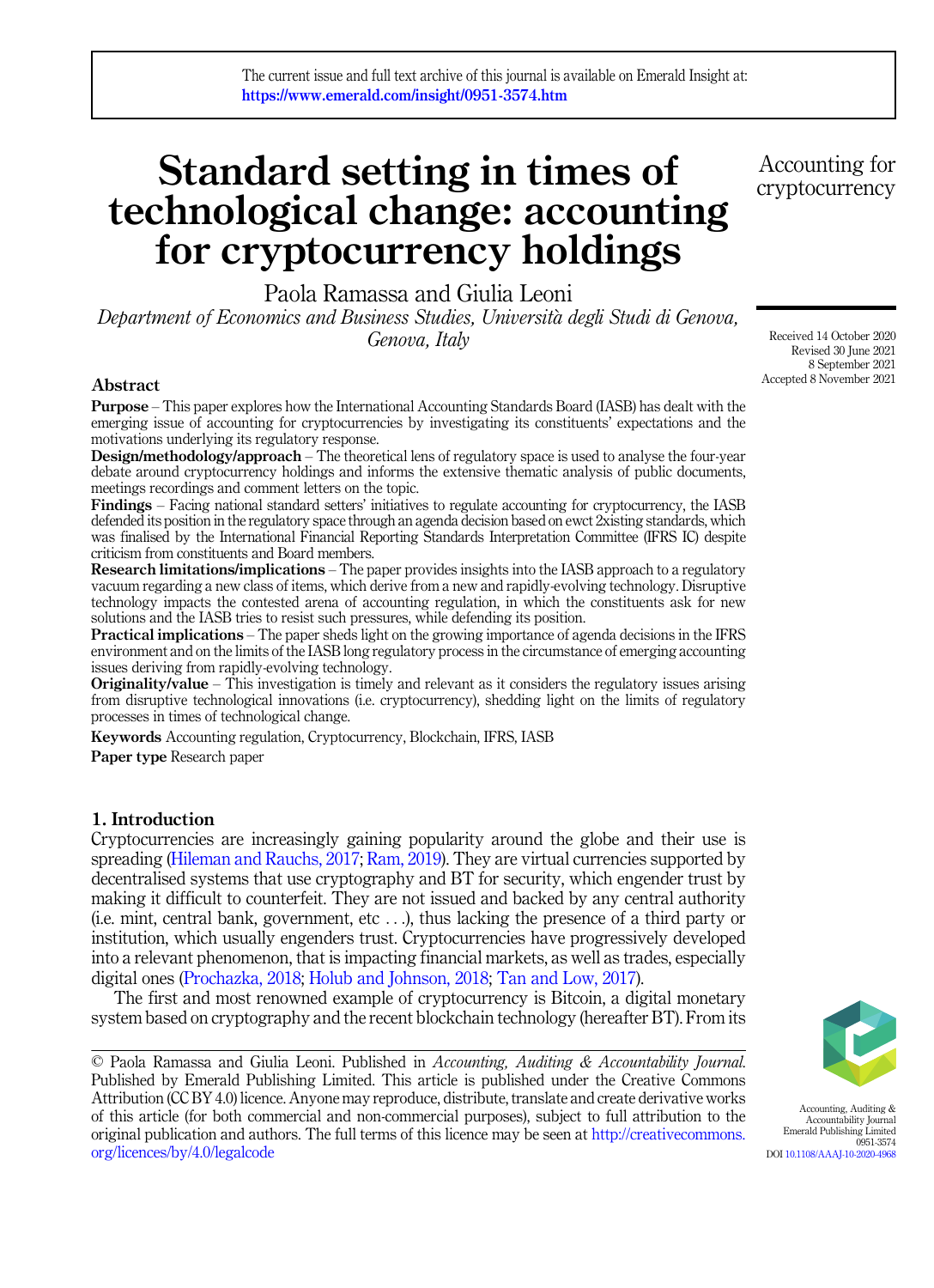# Standard setting in times of technological change: accounting for cryptocurrency holdings

Paola Ramassa and Giulia Leoni Department of Economics and Business Studies, Universita degli Studi di Genova, Genova, Italy

# Abstract

Purpose – This paper explores how the International Accounting Standards Board (IASB) has dealt with the emerging issue of accounting for cryptocurrencies by investigating its constituents' expectations and the motivations underlying its regulatory response.

Design/methodology/approach – The theoretical lens of regulatory space is used to analyse the four-year debate around cryptocurrency holdings and informs the extensive thematic analysis of public documents, meetings recordings and comment letters on the topic.

Findings – Facing national standard setters' initiatives to regulate accounting for cryptocurrency, the IASB defended its position in the regulatory space through an agenda decision based on ewct 2xisting standards, which was finalised by the International Financial Reporting Standards Interpretation Committee (IFRS IC) despite criticism from constituents and Board members.

Research limitations/implications – The paper provides insights into the IASB approach to a regulatory vacuum regarding a new class of items, which derive from a new and rapidly-evolving technology. Disruptive technology impacts the contested arena of accounting regulation, in which the constituents ask for new solutions and the IASB tries to resist such pressures, while defending its position.

Practical implications – The paper sheds light on the growing importance of agenda decisions in the IFRS environment and on the limits of the IASB long regulatory process in the circumstance of emerging accounting issues deriving from rapidly-evolving technology.

Originality/value – This investigation is timely and relevant as it considers the regulatory issues arising from disruptive technological innovations (i.e. cryptocurrency), shedding light on the limits of regulatory processes in times of technological change.

Keywords Accounting regulation, Cryptocurrency, Blockchain, IFRS, IASB

Paper type Research paper

# 1. Introduction

Cryptocurrencies are increasingly gaining popularity around the globe and their use is spreading [\(Hileman and Rauchs, 2017](#page-23-0); [Ram, 2019](#page-25-0)). They are virtual currencies supported by decentralised systems that use cryptography and BT for security, which engender trust by making it difficult to counterfeit. They are not issued and backed by any central authority  $(i.e.$  mint, central bank, government, etc  $\dots$ ), thus lacking the presence of a third party or institution, which usually engenders trust. Cryptocurrencies have progressively developed into a relevant phenomenon, that is impacting financial markets, as well as trades, especially digital ones [\(Prochazka, 2018](#page-25-0); [Holub and Johnson, 2018](#page-23-0); [Tan and Low, 2017](#page-25-0)).

The first and most renowned example of cryptocurrency is Bitcoin, a digital monetary system based on cryptography and the recent blockchain technology (hereafter BT). From its

© Paola Ramassa and Giulia Leoni. Published in Accounting, Auditing & Accountability Journal. Published by Emerald Publishing Limited. This article is published under the Creative Commons Attribution (CC BY 4.0) licence. Anyone may reproduce, distribute, translate and create derivative works of this article (for both commercial and non-commercial purposes), subject to full attribution to the original publication and authors. The full terms of this licence may be seen at [http://creativecommons.](http://creativecommons.org/licences/by/4.0/legalcode) [org/licences/by/4.0/legalcode](http://creativecommons.org/licences/by/4.0/legalcode)

Accounting for cryptocurrency

Received 14 October 2020 Revised 30 June 2021 8 September 2021 Accepted 8 November 2021



Accounting, Auditing & Accountability Journal Emerald Publishing Limited 0951-3574 DOI [10.1108/AAAJ-10-2020-4968](https://doi.org/10.1108/AAAJ-10-2020-4968)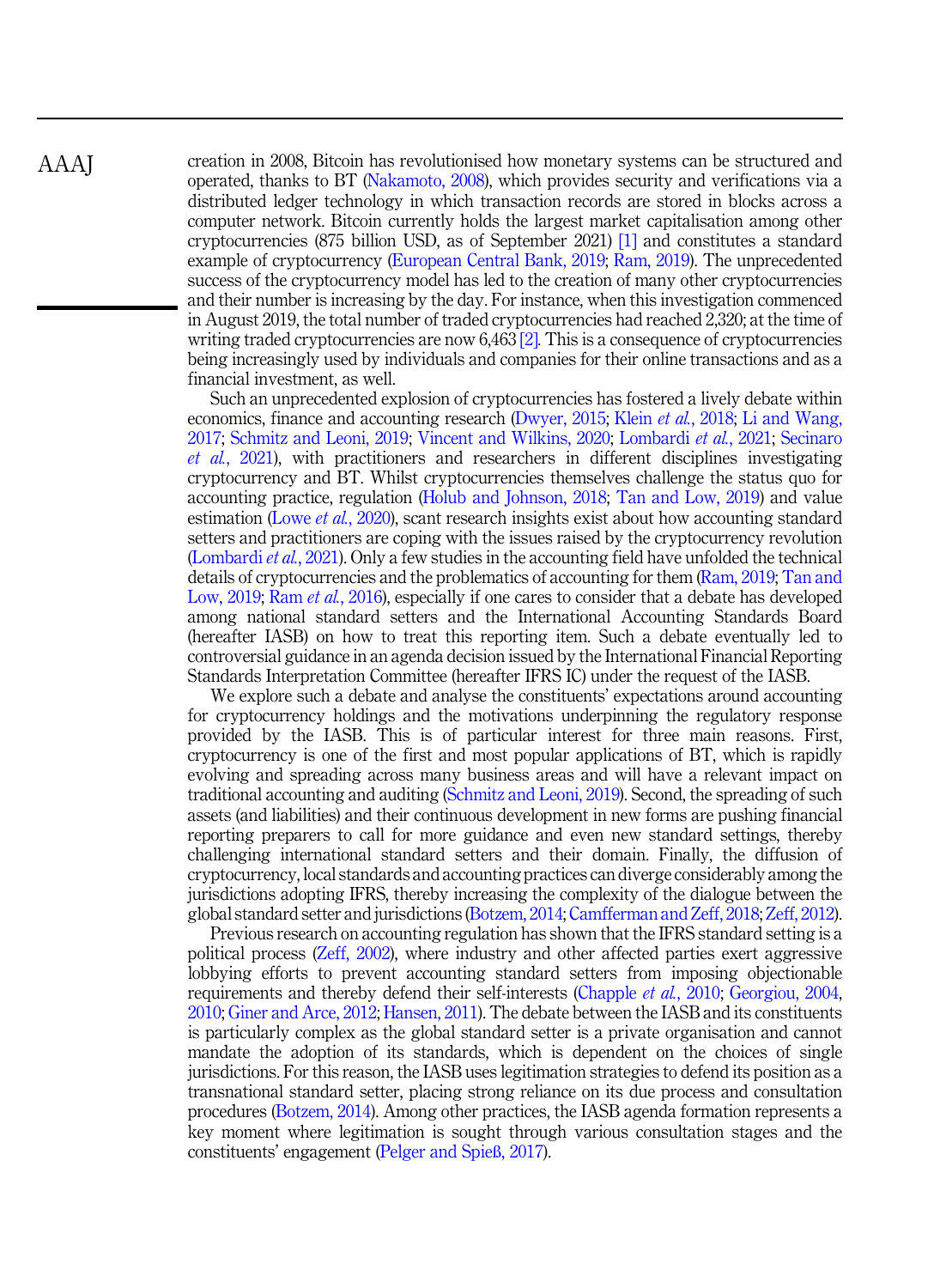creation in 2008, Bitcoin has revolutionised how monetary systems can be structured and operated, thanks to BT [\(Nakamoto, 2008](#page-24-0)), which provides security and verifications via a distributed ledger technology in which transaction records are stored in blocks across a computer network. Bitcoin currently holds the largest market capitalisation among other cryptocurrencies (875 billion USD, as of September 2021) [\[1\]](#page-21-0) and constitutes a standard example of cryptocurrency [\(European Central Bank, 2019;](#page-23-0) [Ram, 2019](#page-25-0)). The unprecedented success of the cryptocurrency model has led to the creation of many other cryptocurrencies and their number is increasing by the day. For instance, when this investigation commenced in August 2019, the total number of traded cryptocurrencies had reached 2,320; at the time of writing traded cryptocurrencies are now 6,463 [\[2\]](#page-21-0). This is a consequence of cryptocurrencies being increasingly used by individuals and companies for their online transactions and as a financial investment, as well.

Such an unprecedented explosion of cryptocurrencies has fostered a lively debate within economics, finance and accounting research [\(Dwyer, 2015](#page-22-0); Klein et al.[, 2018;](#page-24-0) [Li and Wang,](#page-24-0) [2017;](#page-24-0) [Schmitz and Leoni, 2019;](#page-25-0) [Vincent and Wilkins, 2020](#page-25-0); [Lombardi](#page-24-0) et al., 2021; [Secinaro](#page-25-0) et al.[, 2021\)](#page-25-0), with practitioners and researchers in different disciplines investigating cryptocurrency and BT. Whilst cryptocurrencies themselves challenge the status quo for accounting practice, regulation [\(Holub and Johnson, 2018](#page-23-0); [Tan and Low, 2019](#page-25-0)) and value estimation (Lowe *et al.*[, 2020](#page-24-0)), scant research insights exist about how accounting standard setters and practitioners are coping with the issues raised by the cryptocurrency revolution ([Lombardi](#page-24-0) et al., 2021). Only a few studies in the accounting field have unfolded the technical details of cryptocurrencies and the problematics of accounting for them [\(Ram, 2019](#page-25-0); [Tan and](#page-25-0) [Low, 2019;](#page-25-0) Ram *et al.*[, 2016\)](#page-25-0), especially if one cares to consider that a debate has developed among national standard setters and the International Accounting Standards Board (hereafter IASB) on how to treat this reporting item. Such a debate eventually led to controversial guidance in an agenda decision issued by the International Financial Reporting Standards Interpretation Committee (hereafter IFRS IC) under the request of the IASB.

We explore such a debate and analyse the constituents' expectations around accounting for cryptocurrency holdings and the motivations underpinning the regulatory response provided by the IASB. This is of particular interest for three main reasons. First, cryptocurrency is one of the first and most popular applications of BT, which is rapidly evolving and spreading across many business areas and will have a relevant impact on traditional accounting and auditing [\(Schmitz and Leoni, 2019](#page-25-0)). Second, the spreading of such assets (and liabilities) and their continuous development in new forms are pushing financial reporting preparers to call for more guidance and even new standard settings, thereby challenging international standard setters and their domain. Finally, the diffusion of cryptocurrency, local standards and accounting practices can diverge considerably among the jurisdictions adopting IFRS, thereby increasing the complexity of the dialogue between the global standard setter and jurisdictions [\(Botzem, 2014](#page-22-0); [Camfferman and Zeff, 2018](#page-22-0); [Zeff, 2012\)](#page-26-0).

Previous research on accounting regulation has shown that the IFRS standard setting is a political process ([Zeff, 2002](#page-26-0)), where industry and other affected parties exert aggressive lobbying efforts to prevent accounting standard setters from imposing objectionable requirements and thereby defend their self-interests [\(Chapple](#page-22-0) et al., 2010; [Georgiou, 2004](#page-23-0), [2010;](#page-23-0) [Giner and Arce, 2012](#page-23-0); [Hansen, 2011\)](#page-23-0). The debate between the IASB and its constituents is particularly complex as the global standard setter is a private organisation and cannot mandate the adoption of its standards, which is dependent on the choices of single jurisdictions. For this reason, the IASB uses legitimation strategies to defend its position as a transnational standard setter, placing strong reliance on its due process and consultation procedures ([Botzem, 2014\)](#page-22-0). Among other practices, the IASB agenda formation represents a key moment where legitimation is sought through various consultation stages and the constituents' engagement ([Pelger and Spie](#page-25-0)ß, 2017).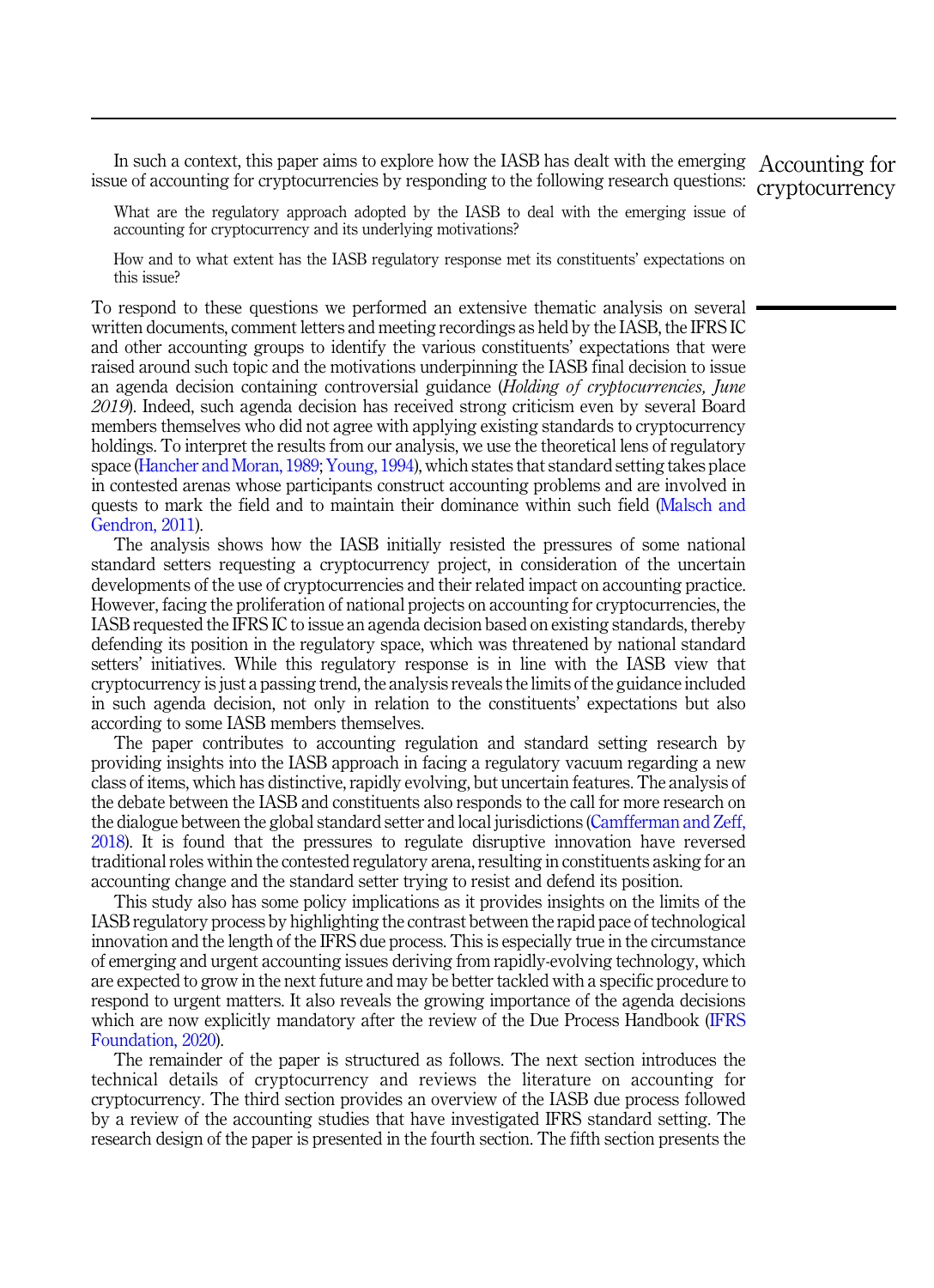In such a context, this paper aims to explore how the IASB has dealt with the emerging Accounting for issue of accounting for cryptocurrencies by responding to the following research questions: cryptocurrency

What are the regulatory approach adopted by the IASB to deal with the emerging issue of accounting for cryptocurrency and its underlying motivations?

How and to what extent has the IASB regulatory response met its constituents' expectations on this issue?

To respond to these questions we performed an extensive thematic analysis on several written documents, comment letters and meeting recordings as held by the IASB, the IFRS IC and other accounting groups to identify the various constituents' expectations that were raised around such topic and the motivations underpinning the IASB final decision to issue an agenda decision containing controversial guidance (Holding of cryptocurrencies, June 2019). Indeed, such agenda decision has received strong criticism even by several Board members themselves who did not agree with applying existing standards to cryptocurrency holdings. To interpret the results from our analysis, we use the theoretical lens of regulatory space [\(Hancher and Moran, 1989;](#page-23-0)[Young, 1994\)](#page-25-0), which states that standard setting takes place in contested arenas whose participants construct accounting problems and are involved in quests to mark the field and to maintain their dominance within such field ([Malsch and](#page-24-0) [Gendron, 2011](#page-24-0)).

The analysis shows how the IASB initially resisted the pressures of some national standard setters requesting a cryptocurrency project, in consideration of the uncertain developments of the use of cryptocurrencies and their related impact on accounting practice. However, facing the proliferation of national projects on accounting for cryptocurrencies, the IASB requested the IFRS IC to issue an agenda decision based on existing standards, thereby defending its position in the regulatory space, which was threatened by national standard setters' initiatives. While this regulatory response is in line with the IASB view that cryptocurrency is just a passing trend, the analysis reveals the limits of the guidance included in such agenda decision, not only in relation to the constituents' expectations but also according to some IASB members themselves.

The paper contributes to accounting regulation and standard setting research by providing insights into the IASB approach in facing a regulatory vacuum regarding a new class of items, which has distinctive, rapidly evolving, but uncertain features. The analysis of the debate between the IASB and constituents also responds to the call for more research on the dialogue between the global standard setter and local jurisdictions [\(Camfferman and Zeff,](#page-22-0) [2018\)](#page-22-0). It is found that the pressures to regulate disruptive innovation have reversed traditional roles within the contested regulatory arena, resulting in constituents asking for an accounting change and the standard setter trying to resist and defend its position.

This study also has some policy implications as it provides insights on the limits of the IASB regulatory process by highlighting the contrast between the rapid pace of technological innovation and the length of the IFRS due process. This is especially true in the circumstance of emerging and urgent accounting issues deriving from rapidly-evolving technology, which are expected to grow in the next future and may be better tackled with a specific procedure to respond to urgent matters. It also reveals the growing importance of the agenda decisions which are now explicitly mandatory after the review of the Due Process Handbook ([IFRS](#page-23-0) [Foundation, 2020](#page-23-0)).

The remainder of the paper is structured as follows. The next section introduces the technical details of cryptocurrency and reviews the literature on accounting for cryptocurrency. The third section provides an overview of the IASB due process followed by a review of the accounting studies that have investigated IFRS standard setting. The research design of the paper is presented in the fourth section. The fifth section presents the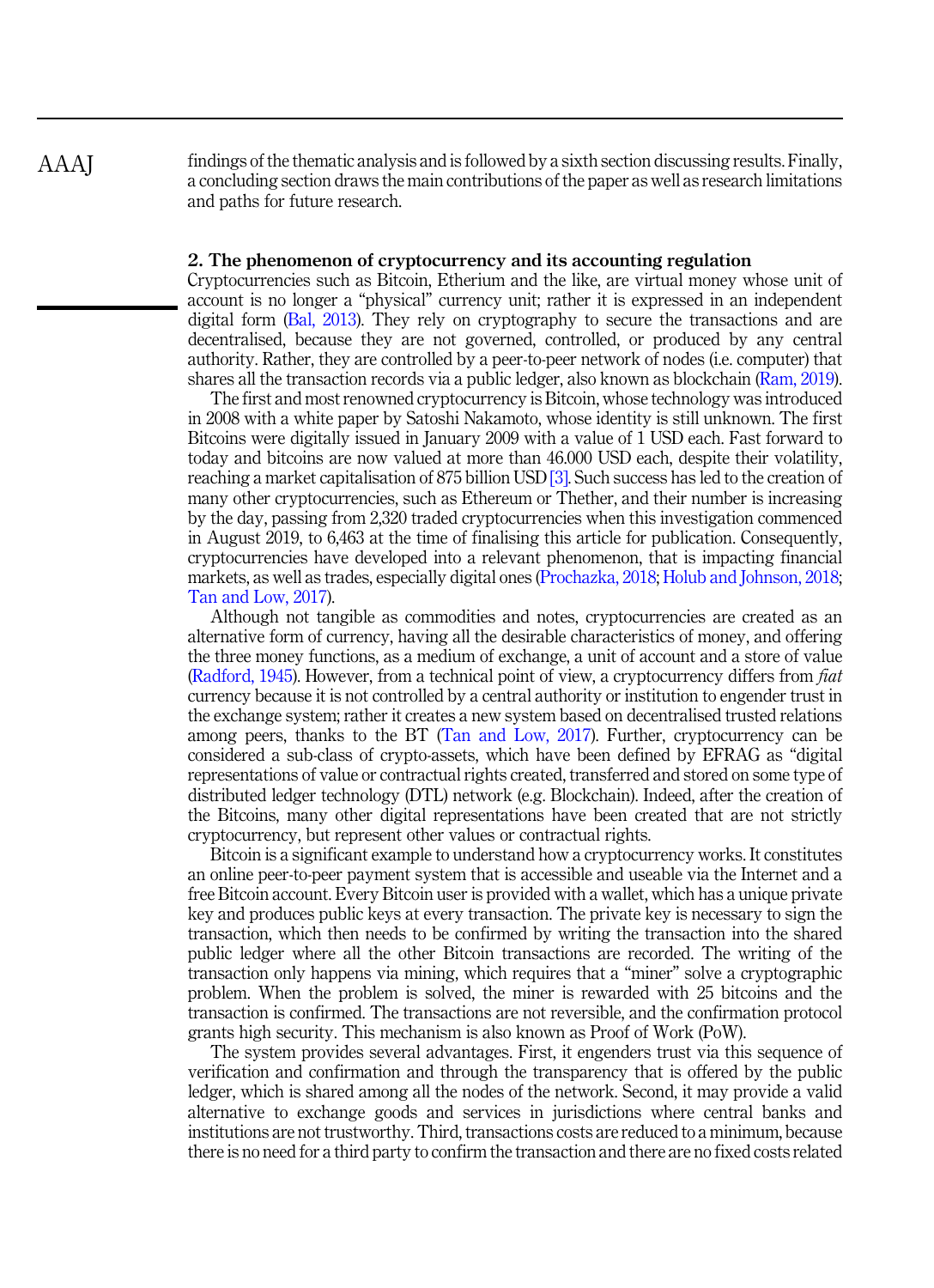AAAJ

findings of the thematic analysis and is followed by a sixth section discussing results. Finally, a concluding section draws the main contributions of the paper as well as research limitations and paths for future research.

# 2. The phenomenon of cryptocurrency and its accounting regulation

Cryptocurrencies such as Bitcoin, Etherium and the like, are virtual money whose unit of account is no longer a "physical" currency unit; rather it is expressed in an independent digital form [\(Bal, 2013](#page-22-0)). They rely on cryptography to secure the transactions and are decentralised, because they are not governed, controlled, or produced by any central authority. Rather, they are controlled by a peer-to-peer network of nodes (i.e. computer) that shares all the transaction records via a public ledger, also known as blockchain [\(Ram, 2019\)](#page-25-0).

The first and most renowned cryptocurrency is Bitcoin, whose technology was introduced in 2008 with a white paper by Satoshi Nakamoto, whose identity is still unknown. The first Bitcoins were digitally issued in January 2009 with a value of 1 USD each. Fast forward to today and bitcoins are now valued at more than 46.000 USD each, despite their volatility, reaching a market capitalisation of 875 billion USD [\[3\].](#page-21-0) Such success has led to the creation of many other cryptocurrencies, such as Ethereum or Thether, and their number is increasing by the day, passing from 2,320 traded cryptocurrencies when this investigation commenced in August 2019, to 6,463 at the time of finalising this article for publication. Consequently, cryptocurrencies have developed into a relevant phenomenon, that is impacting financial markets, as well as trades, especially digital ones [\(Prochazka, 2018;](#page-25-0) [Holub and Johnson, 2018](#page-23-0); [Tan and Low, 2017\)](#page-25-0).

Although not tangible as commodities and notes, cryptocurrencies are created as an alternative form of currency, having all the desirable characteristics of money, and offering the three money functions, as a medium of exchange, a unit of account and a store of value ([Radford, 1945\)](#page-25-0). However, from a technical point of view, a cryptocurrency differs from fiat currency because it is not controlled by a central authority or institution to engender trust in the exchange system; rather it creates a new system based on decentralised trusted relations among peers, thanks to the BT [\(Tan and Low, 2017](#page-25-0)). Further, cryptocurrency can be considered a sub-class of crypto-assets, which have been defined by EFRAG as "digital representations of value or contractual rights created, transferred and stored on some type of distributed ledger technology (DTL) network (e.g. Blockchain). Indeed, after the creation of the Bitcoins, many other digital representations have been created that are not strictly cryptocurrency, but represent other values or contractual rights.

Bitcoin is a significant example to understand how a cryptocurrency works. It constitutes an online peer-to-peer payment system that is accessible and useable via the Internet and a free Bitcoin account. Every Bitcoin user is provided with a wallet, which has a unique private key and produces public keys at every transaction. The private key is necessary to sign the transaction, which then needs to be confirmed by writing the transaction into the shared public ledger where all the other Bitcoin transactions are recorded. The writing of the transaction only happens via mining, which requires that a "miner" solve a cryptographic problem. When the problem is solved, the miner is rewarded with 25 bitcoins and the transaction is confirmed. The transactions are not reversible, and the confirmation protocol grants high security. This mechanism is also known as Proof of Work (PoW).

The system provides several advantages. First, it engenders trust via this sequence of verification and confirmation and through the transparency that is offered by the public ledger, which is shared among all the nodes of the network. Second, it may provide a valid alternative to exchange goods and services in jurisdictions where central banks and institutions are not trustworthy. Third, transactions costs are reduced to a minimum, because there is no need for a third party to confirm the transaction and there are no fixed costs related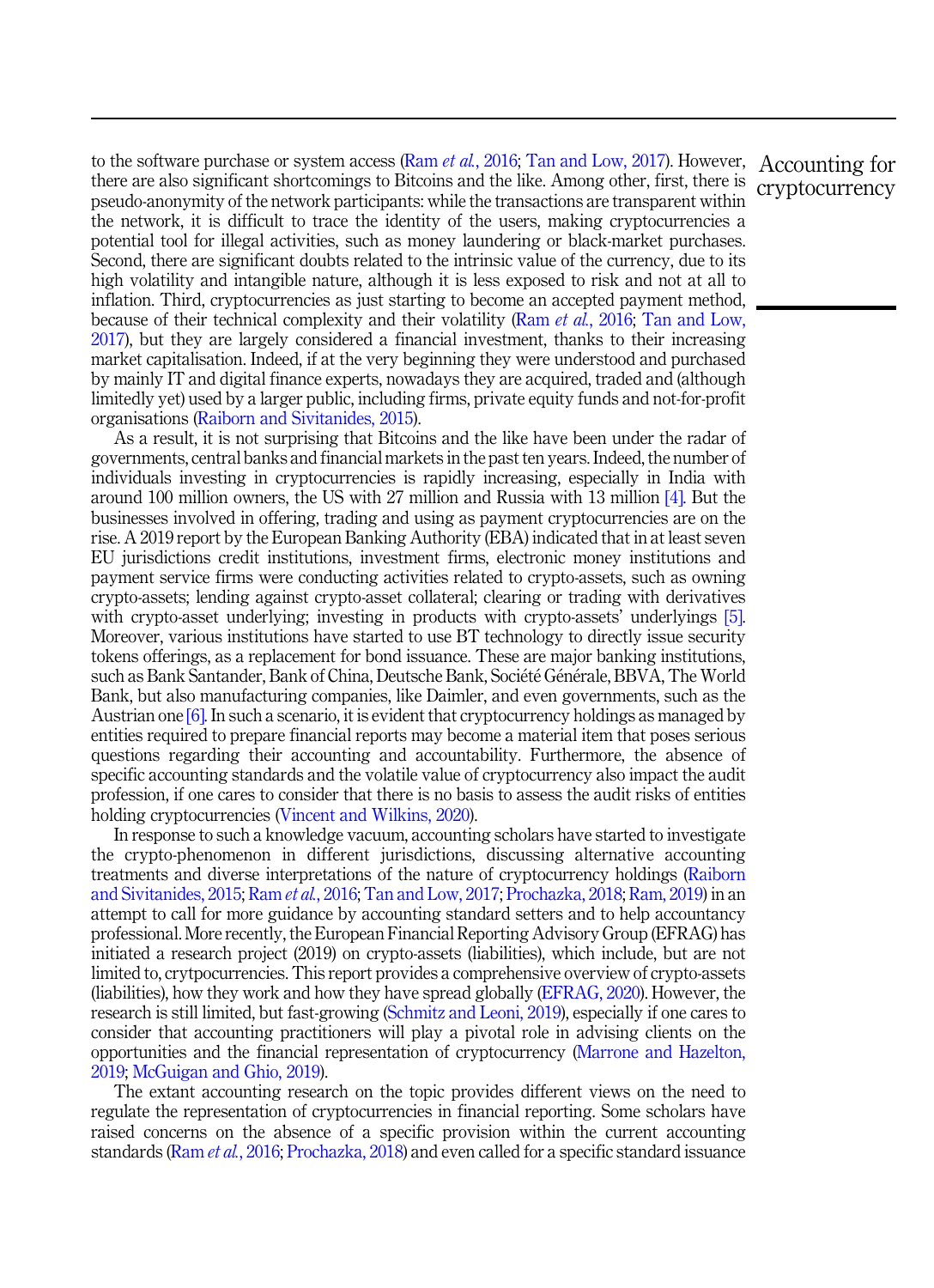to the software purchase or system access (Ram *et al.*[, 2016](#page-25-0); [Tan and Low, 2017\)](#page-25-0). However, Accounting for there are also significant shortcomings to Bitcoins and the like. Among other, first, there is pseudo-anonymity of the network participants: while the transactions are transparent within the network, it is difficult to trace the identity of the users, making cryptocurrencies a potential tool for illegal activities, such as money laundering or black-market purchases. Second, there are significant doubts related to the intrinsic value of the currency, due to its high volatility and intangible nature, although it is less exposed to risk and not at all to inflation. Third, cryptocurrencies as just starting to become an accepted payment method, because of their technical complexity and their volatility (Ram et al.[, 2016](#page-25-0); [Tan and Low,](#page-25-0) [2017\)](#page-25-0), but they are largely considered a financial investment, thanks to their increasing market capitalisation. Indeed, if at the very beginning they were understood and purchased by mainly IT and digital finance experts, nowadays they are acquired, traded and (although limitedly yet) used by a larger public, including firms, private equity funds and not-for-profit organisations ([Raiborn and Sivitanides, 2015](#page-25-0)).

As a result, it is not surprising that Bitcoins and the like have been under the radar of governments, central banks and financial markets in the past ten years. Indeed, the number of individuals investing in cryptocurrencies is rapidly increasing, especially in India with around 100 million owners, the US with 27 million and Russia with 13 million [\[4\].](#page-21-0) But the businesses involved in offering, trading and using as payment cryptocurrencies are on the rise. A 2019 report by the European Banking Authority (EBA) indicated that in at least seven EU jurisdictions credit institutions, investment firms, electronic money institutions and payment service firms were conducting activities related to crypto-assets, such as owning crypto-assets; lending against crypto-asset collateral; clearing or trading with derivatives with crypto-asset underlying; investing in products with crypto-assets' underlyings [\[5\]](#page-21-0). Moreover, various institutions have started to use BT technology to directly issue security tokens offerings, as a replacement for bond issuance. These are major banking institutions, such as Bank Santander, Bank of China, Deutsche Bank, Societe Generale, BBVA, The World Bank, but also manufacturing companies, like Daimler, and even governments, such as the Austrian one [\[6\].](#page-21-0) In such a scenario, it is evident that cryptocurrency holdings as managed by entities required to prepare financial reports may become a material item that poses serious questions regarding their accounting and accountability. Furthermore, the absence of specific accounting standards and the volatile value of cryptocurrency also impact the audit profession, if one cares to consider that there is no basis to assess the audit risks of entities holding cryptocurrencies ([Vincent and Wilkins, 2020](#page-25-0)).

In response to such a knowledge vacuum, accounting scholars have started to investigate the crypto-phenomenon in different jurisdictions, discussing alternative accounting treatments and diverse interpretations of the nature of cryptocurrency holdings ([Raiborn](#page-25-0) [and Sivitanides, 2015;](#page-25-0) Ram et al.[, 2016;](#page-25-0) [Tan and Low, 2017;](#page-25-0) [Prochazka, 2018;](#page-25-0) [Ram, 2019](#page-25-0)) in an attempt to call for more guidance by accounting standard setters and to help accountancy professional. More recently, the European Financial Reporting Advisory Group (EFRAG) has initiated a research project (2019) on crypto-assets (liabilities), which include, but are not limited to, crytpocurrencies. This report provides a comprehensive overview of crypto-assets (liabilities), how they work and how they have spread globally [\(EFRAG, 2020](#page-23-0)). However, the research is still limited, but fast-growing ([Schmitz and Leoni, 2019](#page-25-0)), especially if one cares to consider that accounting practitioners will play a pivotal role in advising clients on the opportunities and the financial representation of cryptocurrency ([Marrone and Hazelton,](#page-24-0) [2019;](#page-24-0) [McGuigan and Ghio, 2019](#page-24-0)).

The extant accounting research on the topic provides different views on the need to regulate the representation of cryptocurrencies in financial reporting. Some scholars have raised concerns on the absence of a specific provision within the current accounting standards (Ram et al.[, 2016;](#page-25-0) [Prochazka, 2018\)](#page-25-0) and even called for a specific standard issuance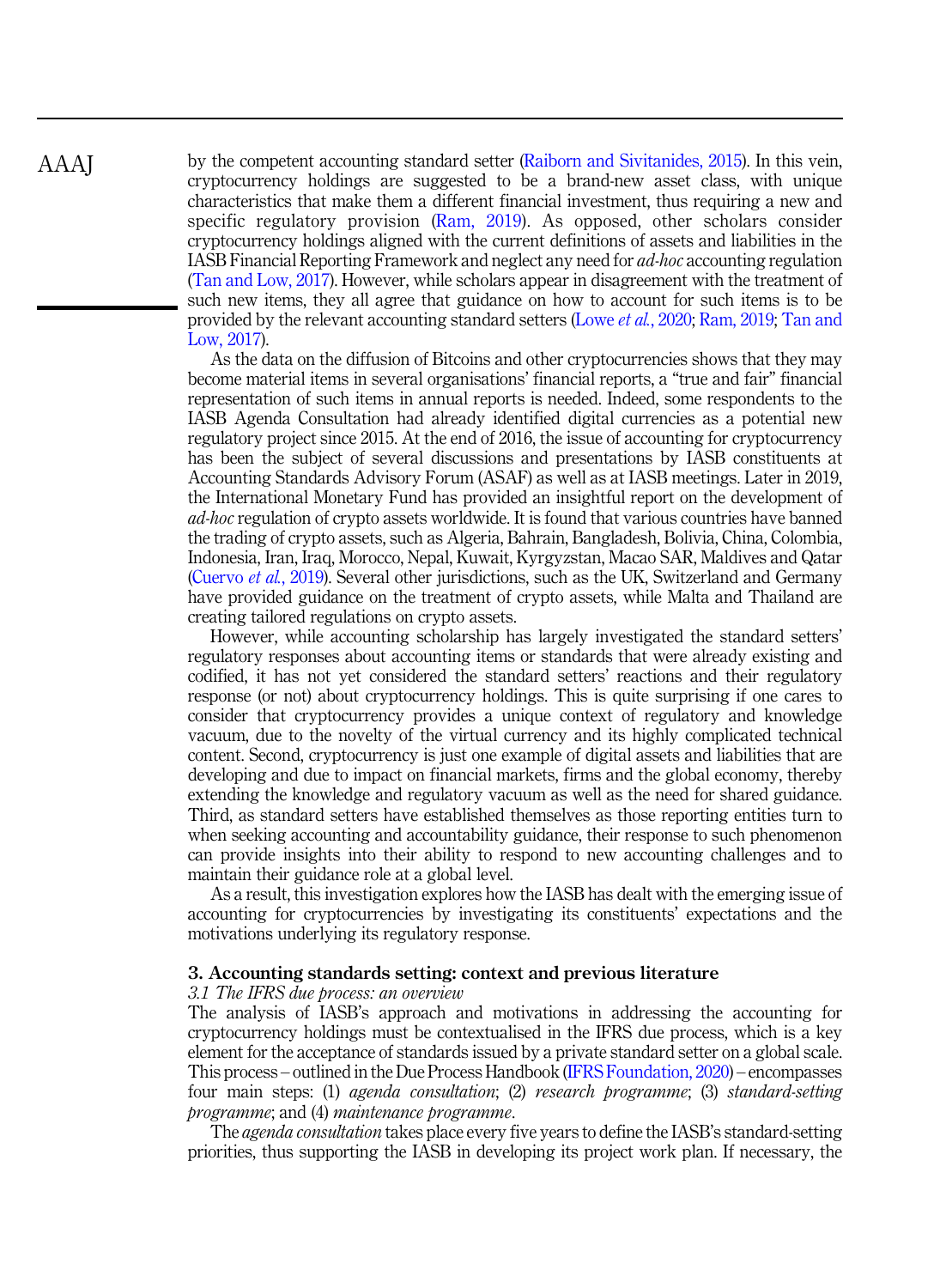by the competent accounting standard setter ([Raiborn and Sivitanides, 2015](#page-25-0)). In this vein, cryptocurrency holdings are suggested to be a brand-new asset class, with unique characteristics that make them a different financial investment, thus requiring a new and specific regulatory provision ([Ram, 2019\)](#page-25-0). As opposed, other scholars consider cryptocurrency holdings aligned with the current definitions of assets and liabilities in the IASB Financial Reporting Framework and neglect any need for ad-hoc accounting regulation ([Tan and Low, 2017](#page-25-0)). However, while scholars appear in disagreement with the treatment of such new items, they all agree that guidance on how to account for such items is to be provided by the relevant accounting standard setters (Lowe et al.[, 2020](#page-24-0); [Ram, 2019;](#page-25-0) [Tan and](#page-25-0) [Low, 2017\)](#page-25-0).

As the data on the diffusion of Bitcoins and other cryptocurrencies shows that they may become material items in several organisations' financial reports, a "true and fair" financial representation of such items in annual reports is needed. Indeed, some respondents to the IASB Agenda Consultation had already identified digital currencies as a potential new regulatory project since 2015. At the end of 2016, the issue of accounting for cryptocurrency has been the subject of several discussions and presentations by IASB constituents at Accounting Standards Advisory Forum (ASAF) as well as at IASB meetings. Later in 2019, the International Monetary Fund has provided an insightful report on the development of ad-hoc regulation of crypto assets worldwide. It is found that various countries have banned the trading of crypto assets, such as Algeria, Bahrain, Bangladesh, Bolivia, China, Colombia, Indonesia, Iran, Iraq, Morocco, Nepal, Kuwait, Kyrgyzstan, Macao SAR, Maldives and Qatar ([Cuervo](#page-22-0) et al., 2019). Several other jurisdictions, such as the UK, Switzerland and Germany have provided guidance on the treatment of crypto assets, while Malta and Thailand are creating tailored regulations on crypto assets.

However, while accounting scholarship has largely investigated the standard setters' regulatory responses about accounting items or standards that were already existing and codified, it has not yet considered the standard setters' reactions and their regulatory response (or not) about cryptocurrency holdings. This is quite surprising if one cares to consider that cryptocurrency provides a unique context of regulatory and knowledge vacuum, due to the novelty of the virtual currency and its highly complicated technical content. Second, cryptocurrency is just one example of digital assets and liabilities that are developing and due to impact on financial markets, firms and the global economy, thereby extending the knowledge and regulatory vacuum as well as the need for shared guidance. Third, as standard setters have established themselves as those reporting entities turn to when seeking accounting and accountability guidance, their response to such phenomenon can provide insights into their ability to respond to new accounting challenges and to maintain their guidance role at a global level.

As a result, this investigation explores how the IASB has dealt with the emerging issue of accounting for cryptocurrencies by investigating its constituents' expectations and the motivations underlying its regulatory response.

# 3. Accounting standards setting: context and previous literature

## 3.1 The IFRS due process: an overview

The analysis of IASB's approach and motivations in addressing the accounting for cryptocurrency holdings must be contextualised in the IFRS due process, which is a key element for the acceptance of standards issued by a private standard setter on a global scale. This process – outlined in the Due Process Handbook ([IFRS Foundation, 2020](#page-23-0)) – encompasses four main steps: (1) agenda consultation; (2) research programme; (3) standard-setting programme; and (4) maintenance programme.

The *agenda consultation* takes place every five years to define the IASB's standard-setting priorities, thus supporting the IASB in developing its project work plan. If necessary, the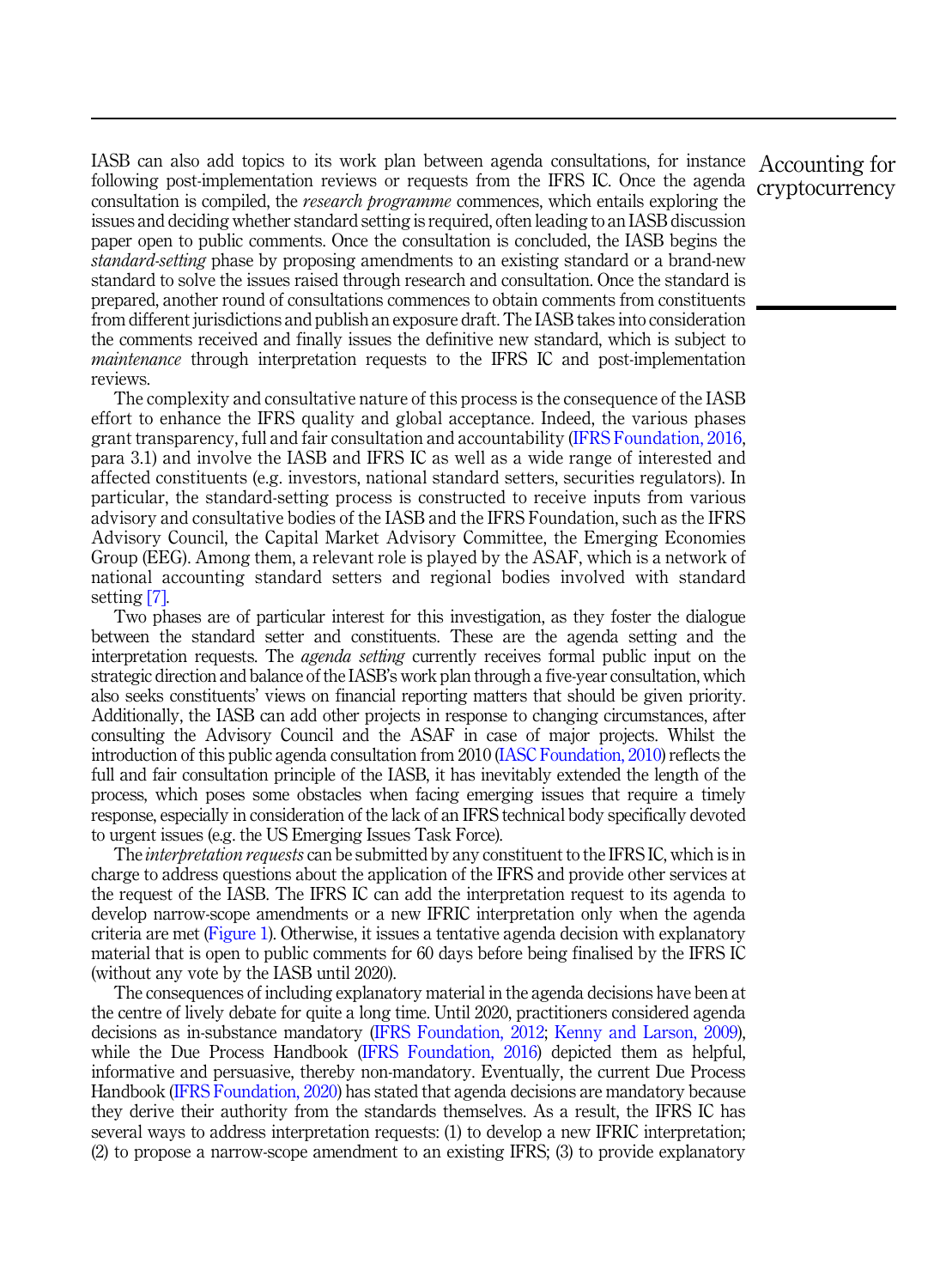IASB can also add topics to its work plan between agenda consultations, for instance Accounting for following post-implementation reviews or requests from the IFRS IC. Once the agenda consultation is compiled, the *research programme* commences, which entails exploring the issues and deciding whether standard setting is required, often leading to an IASB discussion paper open to public comments. Once the consultation is concluded, the IASB begins the standard-setting phase by proposing amendments to an existing standard or a brand-new standard to solve the issues raised through research and consultation. Once the standard is prepared, another round of consultations commences to obtain comments from constituents from different jurisdictions and publish an exposure draft. The IASB takes into consideration the comments received and finally issues the definitive new standard, which is subject to *maintenance* through interpretation requests to the IFRS IC and post-implementation reviews.

The complexity and consultative nature of this process is the consequence of the IASB effort to enhance the IFRS quality and global acceptance. Indeed, the various phases grant transparency, full and fair consultation and accountability ([IFRS Foundation, 2016](#page-23-0), para 3.1) and involve the IASB and IFRS IC as well as a wide range of interested and affected constituents (e.g. investors, national standard setters, securities regulators). In particular, the standard-setting process is constructed to receive inputs from various advisory and consultative bodies of the IASB and the IFRS Foundation, such as the IFRS Advisory Council, the Capital Market Advisory Committee, the Emerging Economies Group (EEG). Among them, a relevant role is played by the ASAF, which is a network of national accounting standard setters and regional bodies involved with standard setting [\[7\].](#page-21-0)

Two phases are of particular interest for this investigation, as they foster the dialogue between the standard setter and constituents. These are the agenda setting and the interpretation requests. The *agenda setting* currently receives formal public input on the strategic direction and balance of the IASB's work plan through a five-year consultation, which also seeks constituents' views on financial reporting matters that should be given priority. Additionally, the IASB can add other projects in response to changing circumstances, after consulting the Advisory Council and the ASAF in case of major projects. Whilst the introduction of this public agenda consultation from 2010 ([IASC Foundation, 2010](#page-23-0)) reflects the full and fair consultation principle of the IASB, it has inevitably extended the length of the process, which poses some obstacles when facing emerging issues that require a timely response, especially in consideration of the lack of an IFRS technical body specifically devoted to urgent issues (e.g. the US Emerging Issues Task Force).

The *interpretation requests* can be submitted by any constituent to the IFRS IC, which is in charge to address questions about the application of the IFRS and provide other services at the request of the IASB. The IFRS IC can add the interpretation request to its agenda to develop narrow-scope amendments or a new IFRIC interpretation only when the agenda criteria are met [\(Figure 1\)](#page-7-0). Otherwise, it issues a tentative agenda decision with explanatory material that is open to public comments for 60 days before being finalised by the IFRS IC (without any vote by the IASB until 2020).

The consequences of including explanatory material in the agenda decisions have been at the centre of lively debate for quite a long time. Until 2020, practitioners considered agenda decisions as in-substance mandatory ([IFRS Foundation, 2012;](#page-23-0) [Kenny and Larson, 2009\)](#page-24-0), while the Due Process Handbook [\(IFRS Foundation, 2016\)](#page-23-0) depicted them as helpful, informative and persuasive, thereby non-mandatory. Eventually, the current Due Process Handbook ([IFRS Foundation, 2020](#page-23-0)) has stated that agenda decisions are mandatory because they derive their authority from the standards themselves. As a result, the IFRS IC has several ways to address interpretation requests: (1) to develop a new IFRIC interpretation; (2) to propose a narrow-scope amendment to an existing IFRS; (3) to provide explanatory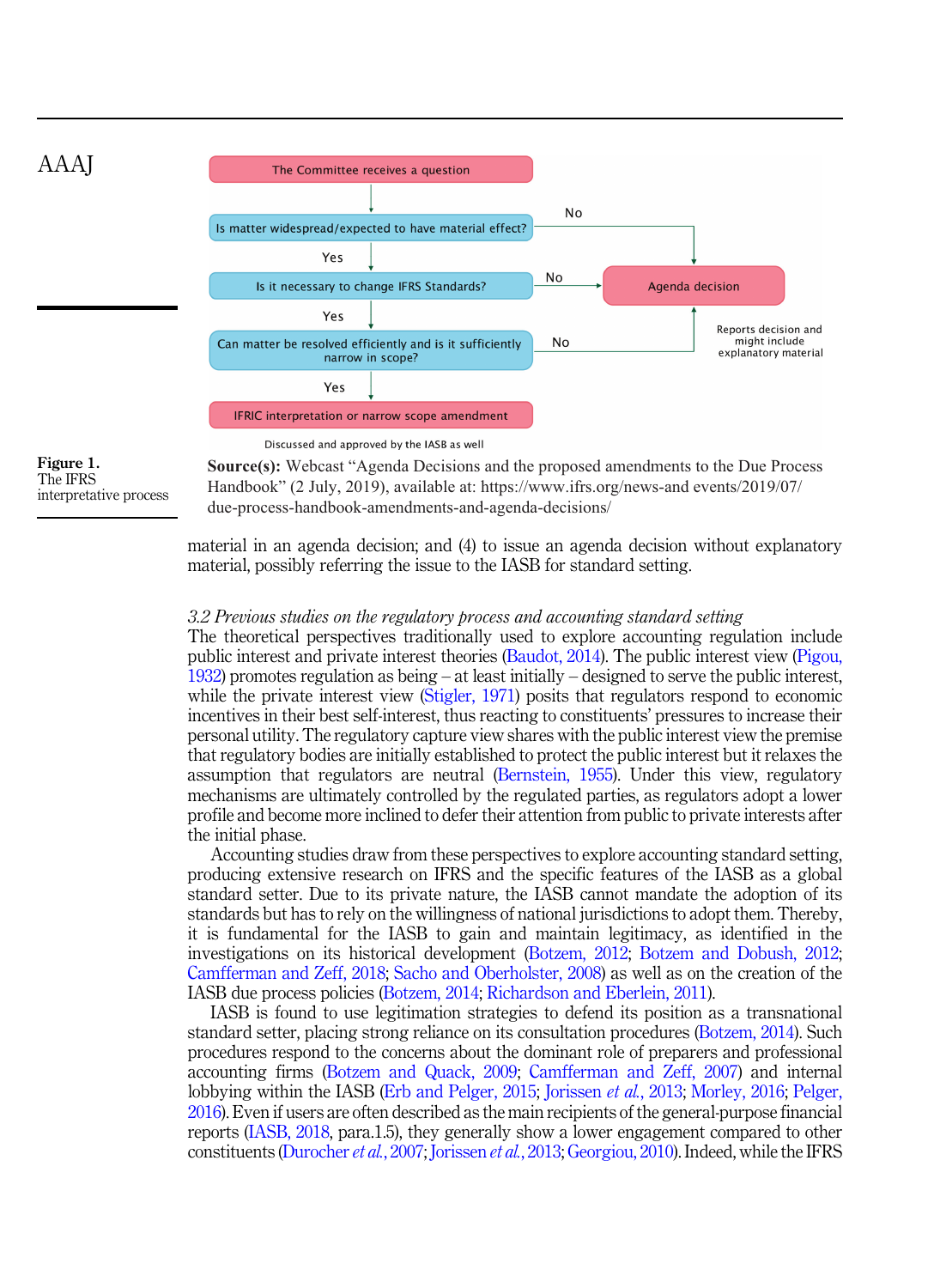<span id="page-7-0"></span>

The IFRS interpretative process **Source(s):** Webcast "Agenda Decisions and the proposed amendments to the Due Process Handbook" (2 July, 2019), available at: https://www.ifrs.org/news-and events/2019/07/ due-process-handbook-amendments-and-agenda-decisions/

material in an agenda decision; and (4) to issue an agenda decision without explanatory material, possibly referring the issue to the IASB for standard setting.

#### 3.2 Previous studies on the regulatory process and accounting standard setting

The theoretical perspectives traditionally used to explore accounting regulation include public interest and private interest theories ([Baudot, 2014](#page-22-0)). The public interest view [\(Pigou,](#page-25-0) [1932\)](#page-25-0) promotes regulation as being – at least initially – designed to serve the public interest, while the private interest view [\(Stigler, 1971](#page-25-0)) posits that regulators respond to economic incentives in their best self-interest, thus reacting to constituents' pressures to increase their personal utility. The regulatory capture view shares with the public interest view the premise that regulatory bodies are initially established to protect the public interest but it relaxes the assumption that regulators are neutral ([Bernstein, 1955\)](#page-22-0). Under this view, regulatory mechanisms are ultimately controlled by the regulated parties, as regulators adopt a lower profile and become more inclined to defer their attention from public to private interests after the initial phase.

Accounting studies draw from these perspectives to explore accounting standard setting, producing extensive research on IFRS and the specific features of the IASB as a global standard setter. Due to its private nature, the IASB cannot mandate the adoption of its standards but has to rely on the willingness of national jurisdictions to adopt them. Thereby, it is fundamental for the IASB to gain and maintain legitimacy, as identified in the investigations on its historical development [\(Botzem, 2012;](#page-22-0) [Botzem and Dobush, 2012](#page-22-0); [Camfferman and Zeff, 2018;](#page-22-0) [Sacho and Oberholster, 2008\)](#page-25-0) as well as on the creation of the IASB due process policies ([Botzem, 2014](#page-22-0); [Richardson and Eberlein, 2011\)](#page-25-0).

IASB is found to use legitimation strategies to defend its position as a transnational standard setter, placing strong reliance on its consultation procedures [\(Botzem, 2014\)](#page-22-0). Such procedures respond to the concerns about the dominant role of preparers and professional accounting firms ([Botzem and Quack, 2009](#page-22-0); [Camfferman and Zeff, 2007\)](#page-22-0) and internal lobbying within the IASB [\(Erb and Pelger, 2015](#page-22-0); [Jorissen](#page-24-0) *et al.*, 2013; [Morley, 2016;](#page-24-0) [Pelger,](#page-24-0) [2016\)](#page-24-0). Even if users are often described as the main recipients of the general-purpose financial reports [\(IASB, 2018](#page-23-0), para.1.5), they generally show a lower engagement compared to other constituents [\(Durocher](#page-22-0) et al., 2007; [Jorissen](#page-24-0) et al., 2013; [Georgiou, 2010\)](#page-23-0). Indeed, while the IFRS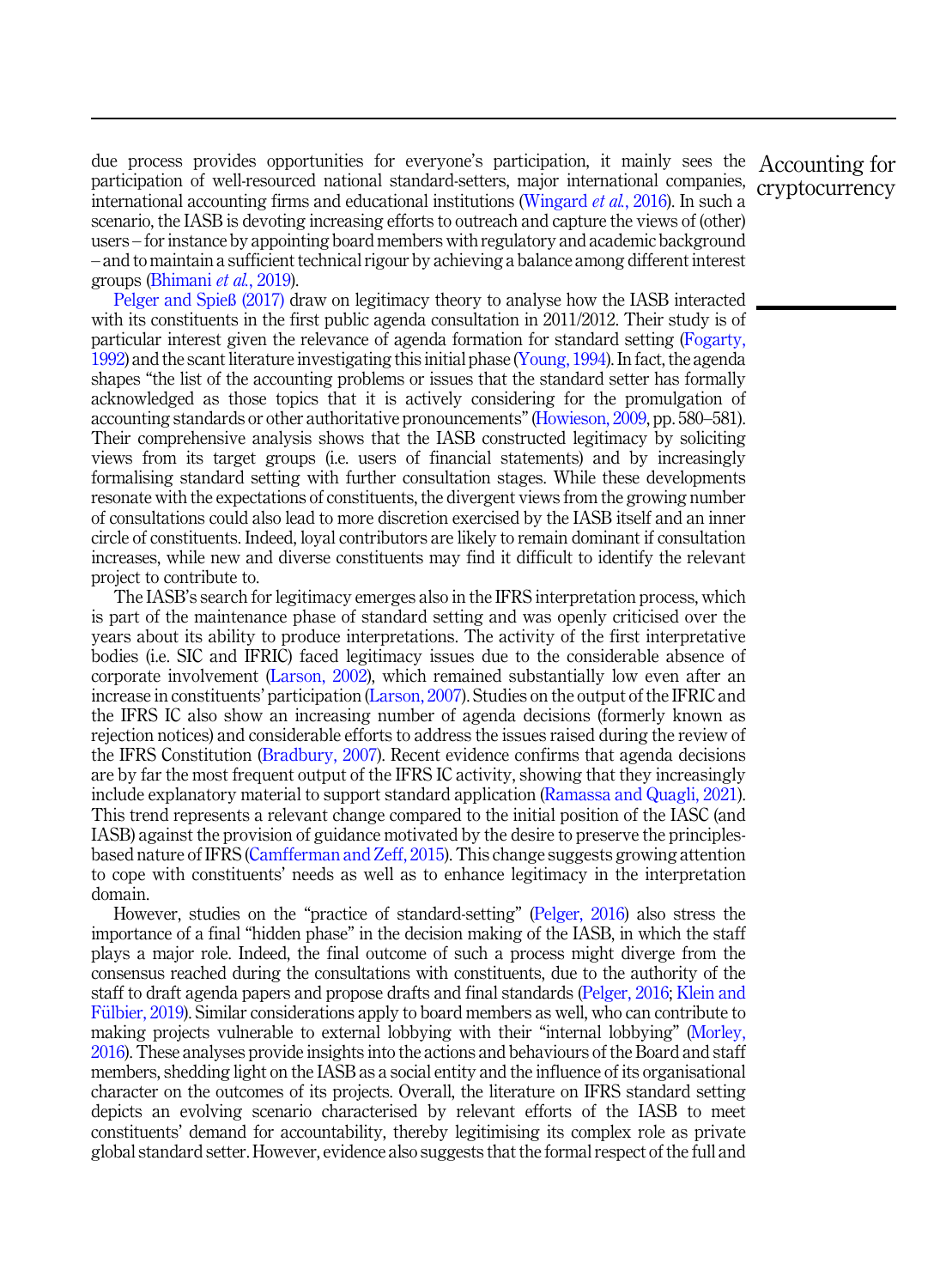due process provides opportunities for everyone's participation, it mainly sees the Accounting for participation of well-resourced national standard-setters, major international companies, international accounting firms and educational institutions ([Wingard](#page-25-0) *et al.*, 2016). In such a scenario, the IASB is devoting increasing efforts to outreach and capture the views of (other) users – for instance by appointing board members with regulatory and academic background – and to maintain a sufficient technical rigour by achieving a balance among different interest groups ([Bhimani](#page-22-0) et al., 2019).

[Pelger and Spie](#page-25-0)ß (2017) draw on legitimacy theory to analyse how the IASB interacted with its constituents in the first public agenda consultation in 2011/2012. Their study is of particular interest given the relevance of agenda formation for standard setting ([Fogarty,](#page-23-0) [1992\)](#page-23-0) and the scant literature investigating this initial phase ([Young, 1994](#page-25-0)). In fact, the agenda shapes "the list of the accounting problems or issues that the standard setter has formally acknowledged as those topics that it is actively considering for the promulgation of accounting standards or other authoritative pronouncements"[\(Howieson, 2009,](#page-23-0) pp. 580–581). Their comprehensive analysis shows that the IASB constructed legitimacy by soliciting views from its target groups (i.e. users of financial statements) and by increasingly formalising standard setting with further consultation stages. While these developments resonate with the expectations of constituents, the divergent views from the growing number of consultations could also lead to more discretion exercised by the IASB itself and an inner circle of constituents. Indeed, loyal contributors are likely to remain dominant if consultation increases, while new and diverse constituents may find it difficult to identify the relevant project to contribute to.

The IASB's search for legitimacy emerges also in the IFRS interpretation process, which is part of the maintenance phase of standard setting and was openly criticised over the years about its ability to produce interpretations. The activity of the first interpretative bodies (i.e. SIC and IFRIC) faced legitimacy issues due to the considerable absence of corporate involvement ([Larson, 2002\)](#page-24-0), which remained substantially low even after an increase in constituents' participation [\(Larson, 2007\)](#page-24-0). Studies on the output of the IFRIC and the IFRS IC also show an increasing number of agenda decisions (formerly known as rejection notices) and considerable efforts to address the issues raised during the review of the IFRS Constitution ([Bradbury, 2007](#page-22-0)). Recent evidence confirms that agenda decisions are by far the most frequent output of the IFRS IC activity, showing that they increasingly include explanatory material to support standard application ([Ramassa and Quagli, 2021\)](#page-25-0). This trend represents a relevant change compared to the initial position of the IASC (and IASB) against the provision of guidance motivated by the desire to preserve the principlesbased nature of IFRS ([Camfferman and Zeff, 2015\)](#page-22-0). This change suggests growing attention to cope with constituents' needs as well as to enhance legitimacy in the interpretation domain.

However, studies on the "practice of standard-setting" [\(Pelger, 2016](#page-24-0)) also stress the importance of a final "hidden phase" in the decision making of the IASB, in which the staff plays a major role. Indeed, the final outcome of such a process might diverge from the consensus reached during the consultations with constituents, due to the authority of the staff to draft agenda papers and propose drafts and final standards ([Pelger, 2016;](#page-24-0) [Klein and](#page-24-0) Fülbier, 2019). Similar considerations apply to board members as well, who can contribute to making projects vulnerable to external lobbying with their "internal lobbying" [\(Morley,](#page-24-0) [2016\)](#page-24-0). These analyses provide insights into the actions and behaviours of the Board and staff members, shedding light on the IASB as a social entity and the influence of its organisational character on the outcomes of its projects. Overall, the literature on IFRS standard setting depicts an evolving scenario characterised by relevant efforts of the IASB to meet constituents' demand for accountability, thereby legitimising its complex role as private global standard setter. However, evidence also suggests that the formal respect of the full and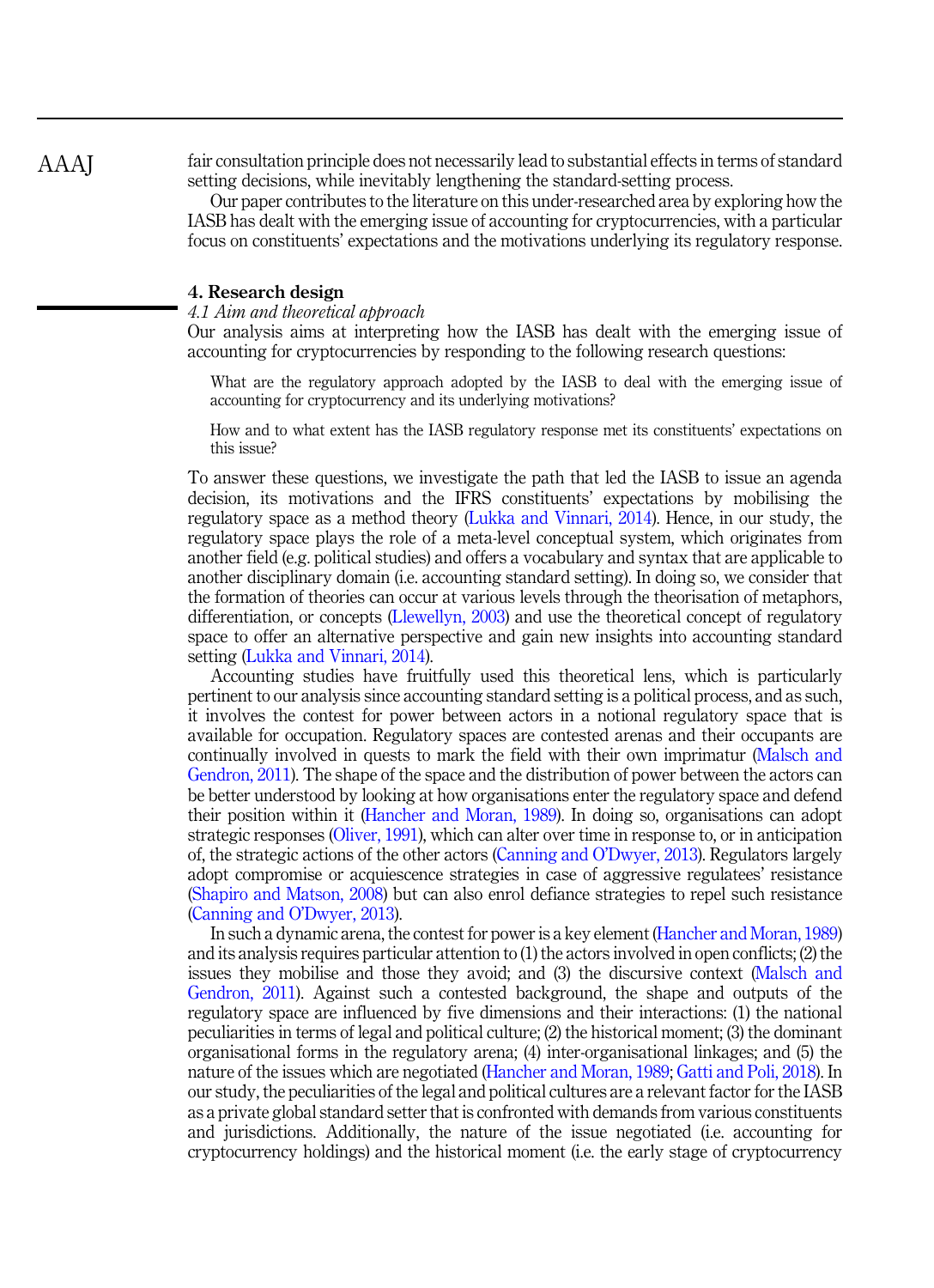fair consultation principle does not necessarily lead to substantial effects in terms of standard setting decisions, while inevitably lengthening the standard-setting process.

Our paper contributes to the literature on this under-researched area by exploring how the IASB has dealt with the emerging issue of accounting for cryptocurrencies, with a particular focus on constituents' expectations and the motivations underlying its regulatory response.

# 4. Research design

#### 4.1 Aim and theoretical approach

Our analysis aims at interpreting how the IASB has dealt with the emerging issue of accounting for cryptocurrencies by responding to the following research questions:

What are the regulatory approach adopted by the IASB to deal with the emerging issue of accounting for cryptocurrency and its underlying motivations?

How and to what extent has the IASB regulatory response met its constituents' expectations on this issue?

To answer these questions, we investigate the path that led the IASB to issue an agenda decision, its motivations and the IFRS constituents' expectations by mobilising the regulatory space as a method theory ([Lukka and Vinnari, 2014](#page-24-0)). Hence, in our study, the regulatory space plays the role of a meta-level conceptual system, which originates from another field (e.g. political studies) and offers a vocabulary and syntax that are applicable to another disciplinary domain (i.e. accounting standard setting). In doing so, we consider that the formation of theories can occur at various levels through the theorisation of metaphors, differentiation, or concepts [\(Llewellyn, 2003\)](#page-24-0) and use the theoretical concept of regulatory space to offer an alternative perspective and gain new insights into accounting standard setting [\(Lukka and Vinnari, 2014\)](#page-24-0).

Accounting studies have fruitfully used this theoretical lens, which is particularly pertinent to our analysis since accounting standard setting is a political process, and as such, it involves the contest for power between actors in a notional regulatory space that is available for occupation. Regulatory spaces are contested arenas and their occupants are continually involved in quests to mark the field with their own imprimatur ([Malsch and](#page-24-0) [Gendron, 2011\)](#page-24-0). The shape of the space and the distribution of power between the actors can be better understood by looking at how organisations enter the regulatory space and defend their position within it ([Hancher and Moran, 1989](#page-23-0)). In doing so, organisations can adopt strategic responses [\(Oliver, 1991](#page-24-0)), which can alter over time in response to, or in anticipation of, the strategic actions of the other actors ([Canning and O](#page-22-0)'Dwyer, 2013). Regulators largely adopt compromise or acquiescence strategies in case of aggressive regulatees' resistance ([Shapiro and Matson, 2008](#page-25-0)) but can also enrol defiance strategies to repel such resistance ([Canning and O](#page-22-0)'Dwyer, 2013).

In such a dynamic arena, the contest for power is a key element [\(Hancher and Moran, 1989\)](#page-23-0) and its analysis requires particular attention to (1) the actors involved in open conflicts; (2) the issues they mobilise and those they avoid; and (3) the discursive context [\(Malsch and](#page-24-0) [Gendron, 2011](#page-24-0)). Against such a contested background, the shape and outputs of the regulatory space are influenced by five dimensions and their interactions: (1) the national peculiarities in terms of legal and political culture; (2) the historical moment; (3) the dominant organisational forms in the regulatory arena; (4) inter-organisational linkages; and (5) the nature of the issues which are negotiated ([Hancher and Moran, 1989;](#page-23-0) [Gatti and Poli, 2018](#page-23-0)). In our study, the peculiarities of the legal and political cultures are a relevant factor for the IASB as a private global standard setter that is confronted with demands from various constituents and jurisdictions. Additionally, the nature of the issue negotiated (i.e. accounting for cryptocurrency holdings) and the historical moment (i.e. the early stage of cryptocurrency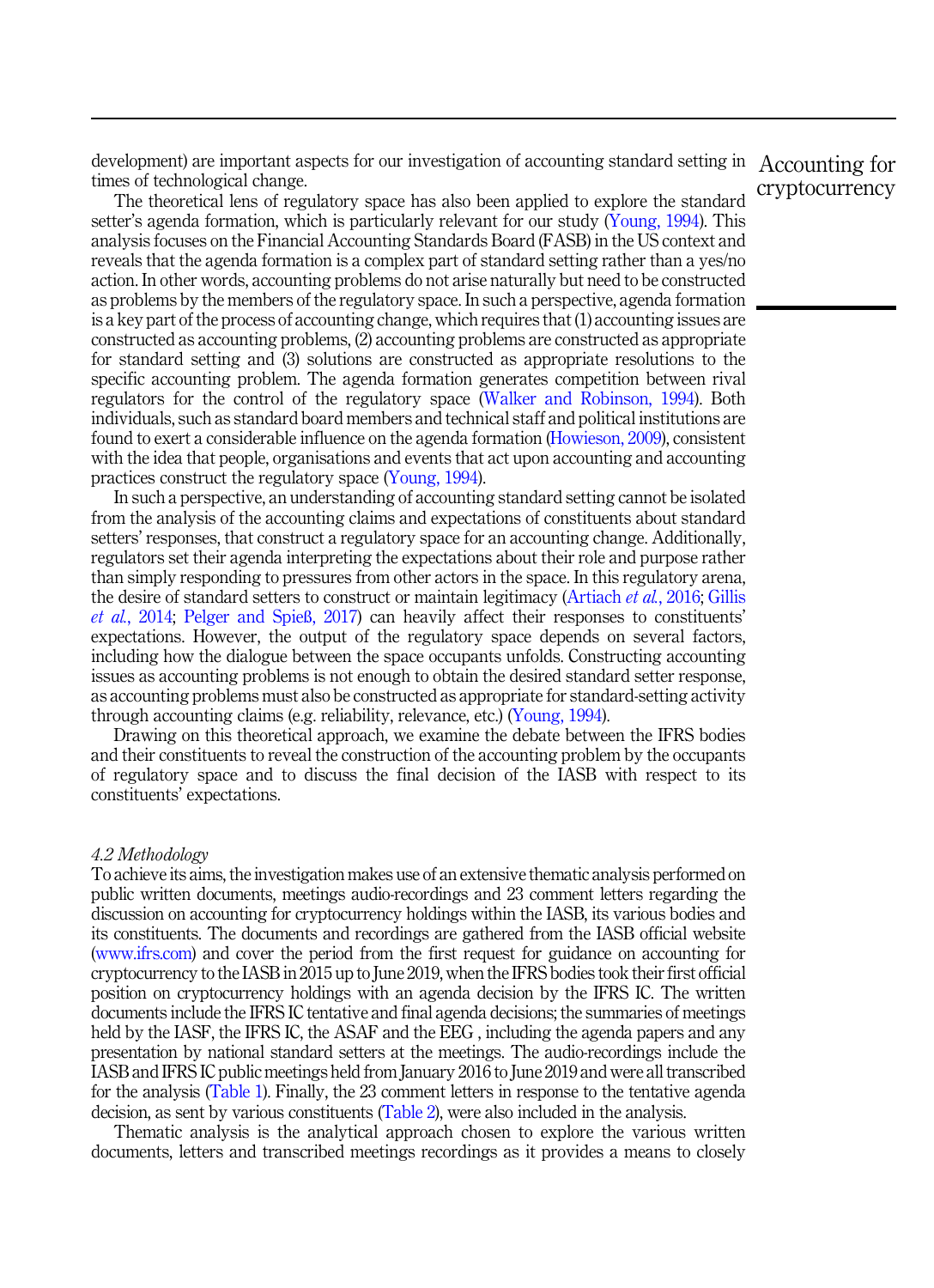development) are important aspects for our investigation of accounting standard setting in Accounting for times of technological change.

The theoretical lens of regulatory space has also been applied to explore the standard setter's agenda formation, which is particularly relevant for our study ([Young, 1994\)](#page-25-0). This analysis focuses on the Financial Accounting Standards Board (FASB) in the US context and reveals that the agenda formation is a complex part of standard setting rather than a yes/no action. In other words, accounting problems do not arise naturally but need to be constructed as problems by the members of the regulatory space. In such a perspective, agenda formation is a key part of the process of accounting change, which requires that (1) accounting issues are constructed as accounting problems, (2) accounting problems are constructed as appropriate for standard setting and (3) solutions are constructed as appropriate resolutions to the specific accounting problem. The agenda formation generates competition between rival regulators for the control of the regulatory space [\(Walker and Robinson, 1994\)](#page-25-0). Both individuals, such as standard board members and technical staff and political institutions are found to exert a considerable influence on the agenda formation ([Howieson, 2009\)](#page-23-0), consistent with the idea that people, organisations and events that act upon accounting and accounting practices construct the regulatory space [\(Young, 1994\)](#page-25-0).

In such a perspective, an understanding of accounting standard setting cannot be isolated from the analysis of the accounting claims and expectations of constituents about standard setters' responses, that construct a regulatory space for an accounting change. Additionally, regulators set their agenda interpreting the expectations about their role and purpose rather than simply responding to pressures from other actors in the space. In this regulatory arena, the desire of standard setters to construct or maintain legitimacy [\(Artiach](#page-21-0) et al., 2016; [Gillis](#page-23-0) et al.[, 2014](#page-23-0); [Pelger and Spie](#page-25-0)ß, 2017) can heavily affect their responses to constituents' expectations. However, the output of the regulatory space depends on several factors, including how the dialogue between the space occupants unfolds. Constructing accounting issues as accounting problems is not enough to obtain the desired standard setter response, as accounting problems must also be constructed as appropriate for standard-setting activity through accounting claims (e.g. reliability, relevance, etc.) ([Young, 1994](#page-25-0)).

Drawing on this theoretical approach, we examine the debate between the IFRS bodies and their constituents to reveal the construction of the accounting problem by the occupants of regulatory space and to discuss the final decision of the IASB with respect to its constituents' expectations.

#### 4.2 Methodology

To achieve its aims, the investigation makes use of an extensive thematic analysis performed on public written documents, meetings audio-recordings and 23 comment letters regarding the discussion on accounting for cryptocurrency holdings within the IASB, its various bodies and its constituents. The documents and recordings are gathered from the IASB official website [\(www.ifrs.com](http://www.ifrs.com)) and cover the period from the first request for guidance on accounting for cryptocurrency to the IASB in 2015 up to June 2019, when the IFRS bodies took their first official position on cryptocurrency holdings with an agenda decision by the IFRS IC. The written documents include the IFRS IC tentative and final agenda decisions; the summaries of meetings held by the IASF, the IFRS IC, the ASAF and the EEG , including the agenda papers and any presentation by national standard setters at the meetings. The audio-recordings include the IASB and IFRS IC public meetings held from January 2016 to June 2019 and were all transcribed for the analysis ([Table 1](#page-11-0)). Finally, the 23 comment letters in response to the tentative agenda decision, as sent by various constituents ([Table 2\)](#page-12-0), were also included in the analysis.

Thematic analysis is the analytical approach chosen to explore the various written documents, letters and transcribed meetings recordings as it provides a means to closely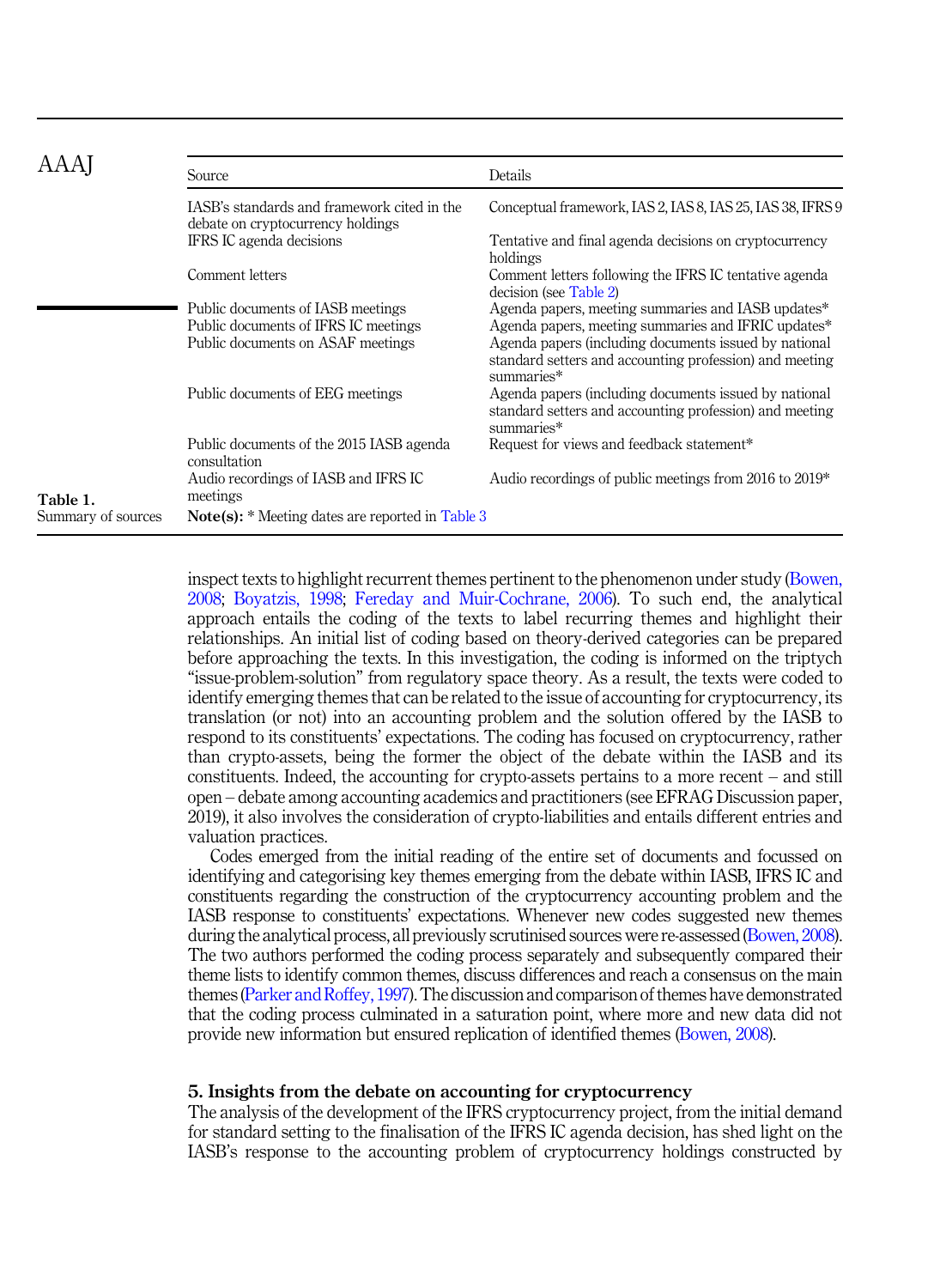<span id="page-11-0"></span>

|                                | Source                                                                           | Details                                                                                                                        |
|--------------------------------|----------------------------------------------------------------------------------|--------------------------------------------------------------------------------------------------------------------------------|
|                                | IASB's standards and framework cited in the<br>debate on cryptocurrency holdings | Conceptual framework, IAS 2, IAS 8, IAS 25, IAS 38, IFRS 9                                                                     |
|                                | IFRS IC agenda decisions                                                         | Tentative and final agenda decisions on cryptocurrency<br>holdings                                                             |
|                                | Comment letters                                                                  | Comment letters following the IFRS IC tentative agenda<br>decision (see Table 2)                                               |
|                                | Public documents of IASB meetings<br>Public documents of IFRS IC meetings        | Agenda papers, meeting summaries and IASB updates*<br>Agenda papers, meeting summaries and IFRIC updates*                      |
|                                | Public documents on ASAF meetings                                                | Agenda papers (including documents issued by national<br>standard setters and accounting profession) and meeting<br>summaries* |
|                                | Public documents of EEG meetings                                                 | Agenda papers (including documents issued by national<br>standard setters and accounting profession) and meeting<br>summaries* |
|                                | Public documents of the 2015 IASB agenda<br>consultation                         | Request for views and feedback statement*                                                                                      |
|                                | Audio recordings of IASB and IFRS IC                                             | Audio recordings of public meetings from 2016 to 2019*                                                                         |
| Table 1.<br>Summary of sources | meetings<br><b>Note(s):</b> * Meeting dates are reported in Table 3              |                                                                                                                                |
|                                |                                                                                  |                                                                                                                                |

inspect texts to highlight recurrent themes pertinent to the phenomenon under study [\(Bowen,](#page-22-0) [2008;](#page-22-0) [Boyatzis, 1998](#page-22-0); [Fereday and Muir-Cochrane, 2006](#page-23-0)). To such end, the analytical approach entails the coding of the texts to label recurring themes and highlight their relationships. An initial list of coding based on theory-derived categories can be prepared before approaching the texts. In this investigation, the coding is informed on the triptych "issue-problem-solution" from regulatory space theory. As a result, the texts were coded to identify emerging themes that can be related to the issue of accounting for cryptocurrency, its translation (or not) into an accounting problem and the solution offered by the IASB to respond to its constituents' expectations. The coding has focused on cryptocurrency, rather than crypto-assets, being the former the object of the debate within the IASB and its constituents. Indeed, the accounting for crypto-assets pertains to a more recent – and still open – debate among accounting academics and practitioners (see EFRAG Discussion paper, 2019), it also involves the consideration of crypto-liabilities and entails different entries and valuation practices.

Codes emerged from the initial reading of the entire set of documents and focussed on identifying and categorising key themes emerging from the debate within IASB, IFRS IC and constituents regarding the construction of the cryptocurrency accounting problem and the IASB response to constituents' expectations. Whenever new codes suggested new themes during the analytical process, all previously scrutinised sources were re-assessed ([Bowen, 2008\)](#page-22-0). The two authors performed the coding process separately and subsequently compared their theme lists to identify common themes, discuss differences and reach a consensus on the main themes [\(Parker and Roffey, 1997](#page-24-0)). The discussion and comparison of themes have demonstrated that the coding process culminated in a saturation point, where more and new data did not provide new information but ensured replication of identified themes [\(Bowen, 2008\)](#page-22-0).

# 5. Insights from the debate on accounting for cryptocurrency

The analysis of the development of the IFRS cryptocurrency project, from the initial demand for standard setting to the finalisation of the IFRS IC agenda decision, has shed light on the IASB's response to the accounting problem of cryptocurrency holdings constructed by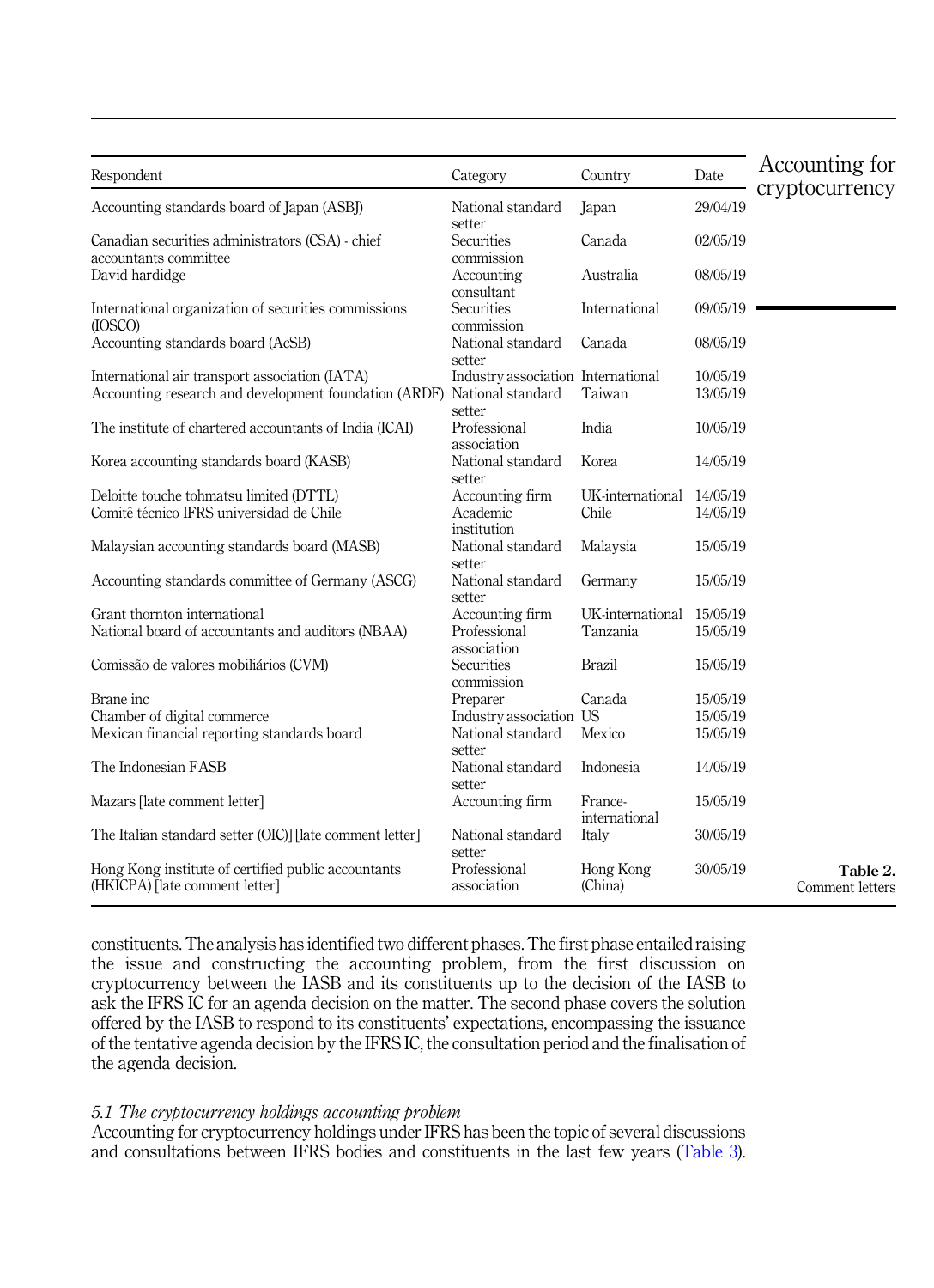<span id="page-12-0"></span>

| Respondent                                                                                                                | Category                                     | Country                   | Date                 | Accounting for<br>cryptocurrency |
|---------------------------------------------------------------------------------------------------------------------------|----------------------------------------------|---------------------------|----------------------|----------------------------------|
| Accounting standards board of Japan (ASBJ)                                                                                | National standard<br>setter                  | Japan                     | 29/04/19             |                                  |
| Canadian securities administrators (CSA) - chief<br>accountants committee                                                 | Securities<br>commission                     | Canada                    | 02/05/19             |                                  |
| David hardidge                                                                                                            | Accounting<br>consultant                     | Australia                 | 08/05/19             |                                  |
| International organization of securities commissions<br>(IOSCO)                                                           | Securities<br>commission                     | International             | 09/05/19             |                                  |
| Accounting standards board (AcSB)                                                                                         | National standard<br>setter                  | Canada                    | 08/05/19             |                                  |
| International air transport association (IATA)<br>Accounting research and development foundation (ARDF) National standard | Industry association International<br>setter | Taiwan                    | 10/05/19<br>13/05/19 |                                  |
| The institute of chartered accountants of India (ICAI)                                                                    | Professional<br>association                  | India                     | 10/05/19             |                                  |
| Korea accounting standards board (KASB)                                                                                   | National standard<br>setter                  | Korea                     | 14/05/19             |                                  |
| Deloitte touche tohmatsu limited (DTTL)<br>Comitê técnico IFRS universidad de Chile                                       | Accounting firm<br>Academic<br>institution   | UK-international<br>Chile | 14/05/19<br>14/05/19 |                                  |
| Malaysian accounting standards board (MASB)                                                                               | National standard<br>setter                  | Malaysia                  | 15/05/19             |                                  |
| Accounting standards committee of Germany (ASCG)                                                                          | National standard<br>setter                  | Germany                   | 15/05/19             |                                  |
| Grant thornton international                                                                                              | Accounting firm                              | UK-international          | 15/05/19             |                                  |
| National board of accountants and auditors (NBAA)                                                                         | Professional<br>association                  | Tanzania                  | 15/05/19             |                                  |
| Comissão de valores mobiliários (CVM)                                                                                     | Securities<br>commission                     | Brazil                    | 15/05/19             |                                  |
| Brane inc                                                                                                                 | Preparer                                     | Canada                    | 15/05/19             |                                  |
| Chamber of digital commerce                                                                                               | Industry association US                      |                           | 15/05/19             |                                  |
| Mexican financial reporting standards board                                                                               | National standard<br>setter                  | Mexico                    | 15/05/19             |                                  |
| The Indonesian FASB                                                                                                       | National standard<br>setter                  | Indonesia                 | 14/05/19             |                                  |
| Mazars [late comment letter]                                                                                              | Accounting firm                              | France-<br>international  | 15/05/19             |                                  |
| The Italian standard setter (OIC)] [late comment letter]                                                                  | National standard<br>setter                  | Italy                     | 30/05/19             |                                  |
| Hong Kong institute of certified public accountants<br>(HKICPA) [late comment letter]                                     | Professional<br>association                  | Hong Kong<br>(China)      | 30/05/19             | Table 2.<br>Comment letters      |

constituents. The analysis has identified two different phases. The first phase entailed raising the issue and constructing the accounting problem, from the first discussion on cryptocurrency between the IASB and its constituents up to the decision of the IASB to ask the IFRS IC for an agenda decision on the matter. The second phase covers the solution offered by the IASB to respond to its constituents' expectations, encompassing the issuance of the tentative agenda decision by the IFRS IC, the consultation period and the finalisation of the agenda decision.

# 5.1 The cryptocurrency holdings accounting problem

Accounting for cryptocurrency holdings under IFRS has been the topic of several discussions and consultations between IFRS bodies and constituents in the last few years ([Table 3\)](#page-13-0).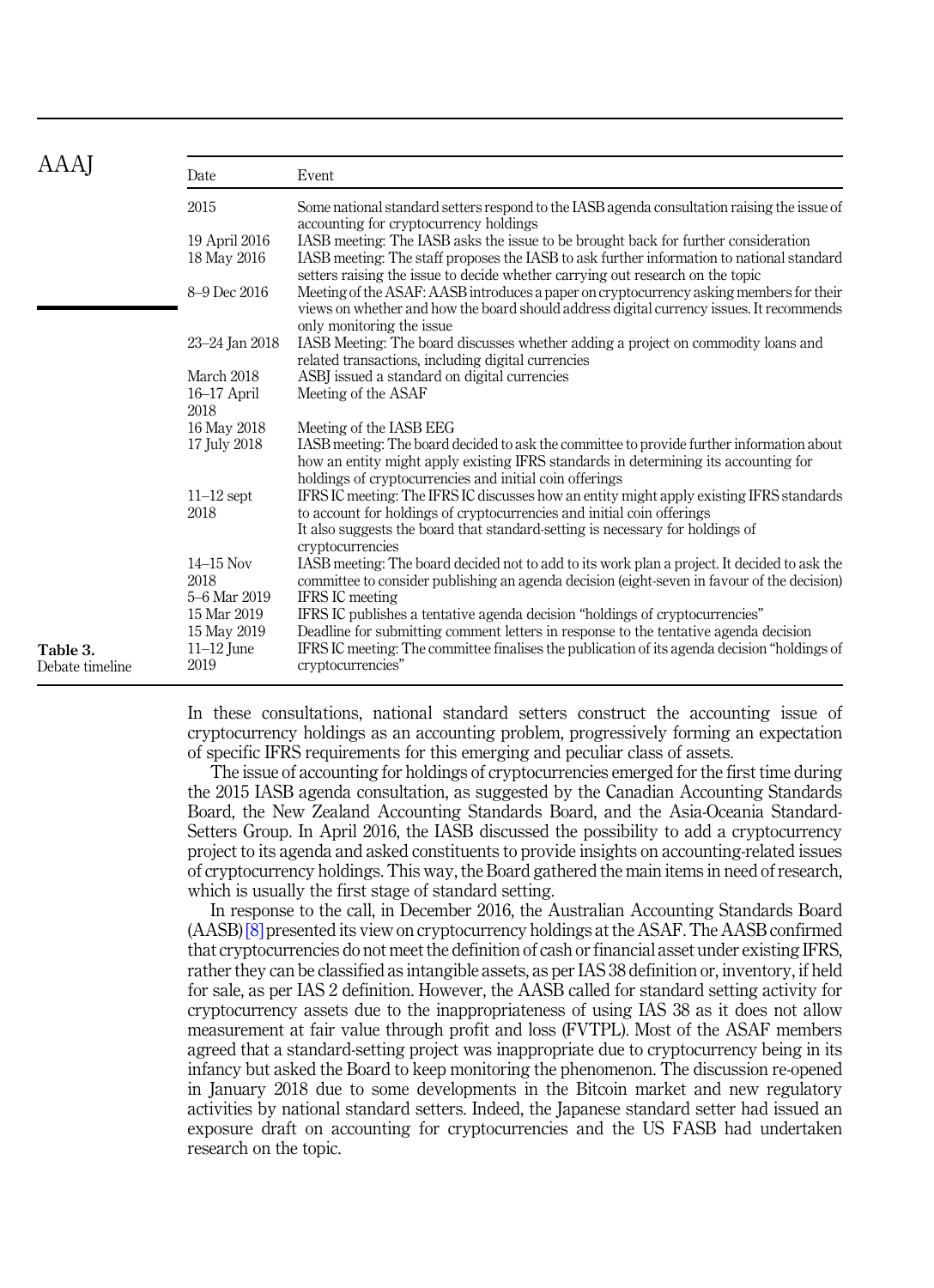<span id="page-13-0"></span>

| AAAI                                                                                              | Date                 | Event                                                                                                                                                                                                                                       |
|---------------------------------------------------------------------------------------------------|----------------------|---------------------------------------------------------------------------------------------------------------------------------------------------------------------------------------------------------------------------------------------|
|                                                                                                   | 2015                 | Some national standard setters respond to the IASB agenda consultation raising the issue of<br>accounting for cryptocurrency holdings                                                                                                       |
|                                                                                                   | 19 April 2016        | IASB meeting: The IASB asks the issue to be brought back for further consideration                                                                                                                                                          |
|                                                                                                   | 18 May 2016          | IASB meeting: The staff proposes the IASB to ask further information to national standard<br>setters raising the issue to decide whether carrying out research on the topic                                                                 |
| March 2018<br>16-17 April<br>2018<br>$11-12$ sept<br>2018<br>$14 - 15$ Nov<br>2018<br>15 Mar 2019 | 8-9 Dec 2016         | Meeting of the ASAF: AASB introduces a paper on cryptocurrency asking members for their<br>views on whether and how the board should address digital currency issues. It recommends<br>only monitoring the issue.                           |
|                                                                                                   | 23–24 Jan 2018       | IASB Meeting: The board discusses whether adding a project on commodity loans and<br>related transactions, including digital currencies                                                                                                     |
|                                                                                                   |                      | ASBJ issued a standard on digital currencies                                                                                                                                                                                                |
|                                                                                                   |                      | Meeting of the ASAF                                                                                                                                                                                                                         |
|                                                                                                   |                      |                                                                                                                                                                                                                                             |
|                                                                                                   | 16 May 2018          | Meeting of the IASB EEG                                                                                                                                                                                                                     |
|                                                                                                   | 17 July 2018         | IASB meeting: The board decided to ask the committee to provide further information about<br>how an entity might apply existing IFRS standards in determining its accounting for<br>holdings of cryptocurrencies and initial coin offerings |
|                                                                                                   |                      | IFRS IC meeting: The IFRS IC discusses how an entity might apply existing IFRS standards                                                                                                                                                    |
|                                                                                                   |                      | to account for holdings of cryptocurrencies and initial coin offerings                                                                                                                                                                      |
|                                                                                                   |                      | It also suggests the board that standard-setting is necessary for holdings of<br>cryptocurrencies                                                                                                                                           |
|                                                                                                   |                      | IASB meeting: The board decided not to add to its work plan a project. It decided to ask the                                                                                                                                                |
|                                                                                                   |                      | committee to consider publishing an agenda decision (eight-seven in favour of the decision)                                                                                                                                                 |
|                                                                                                   | 5–6 Mar 2019         | <b>IFRS IC</b> meeting                                                                                                                                                                                                                      |
|                                                                                                   |                      | IFRS IC publishes a tentative agenda decision "holdings of cryptocurrencies"                                                                                                                                                                |
|                                                                                                   | 15 May 2019          | Deadline for submitting comment letters in response to the tentative agenda decision                                                                                                                                                        |
| Table 3.<br>Debate timeline                                                                       | $11-12$ June<br>2019 | IFRS IC meeting: The committee finalises the publication of its agenda decision "holdings of<br>cryptocurrencies"                                                                                                                           |

In these consultations, national standard setters construct the accounting issue of cryptocurrency holdings as an accounting problem, progressively forming an expectation of specific IFRS requirements for this emerging and peculiar class of assets.

The issue of accounting for holdings of cryptocurrencies emerged for the first time during the 2015 IASB agenda consultation, as suggested by the Canadian Accounting Standards Board, the New Zealand Accounting Standards Board, and the Asia-Oceania Standard-Setters Group. In April 2016, the IASB discussed the possibility to add a cryptocurrency project to its agenda and asked constituents to provide insights on accounting-related issues of cryptocurrency holdings. This way, the Board gathered the main items in need of research, which is usually the first stage of standard setting.

In response to the call, in December 2016, the Australian Accounting Standards Board (AASB) [\[8\]](#page-21-0) presented its view on cryptocurrency holdings at the ASAF. The AASB confirmed that cryptocurrencies do not meet the definition of cash or financial asset under existing IFRS, rather they can be classified as intangible assets, as per IAS 38 definition or, inventory, if held for sale, as per IAS 2 definition. However, the AASB called for standard setting activity for cryptocurrency assets due to the inappropriateness of using IAS 38 as it does not allow measurement at fair value through profit and loss (FVTPL). Most of the ASAF members agreed that a standard-setting project was inappropriate due to cryptocurrency being in its infancy but asked the Board to keep monitoring the phenomenon. The discussion re-opened in January 2018 due to some developments in the Bitcoin market and new regulatory activities by national standard setters. Indeed, the Japanese standard setter had issued an exposure draft on accounting for cryptocurrencies and the US FASB had undertaken research on the topic.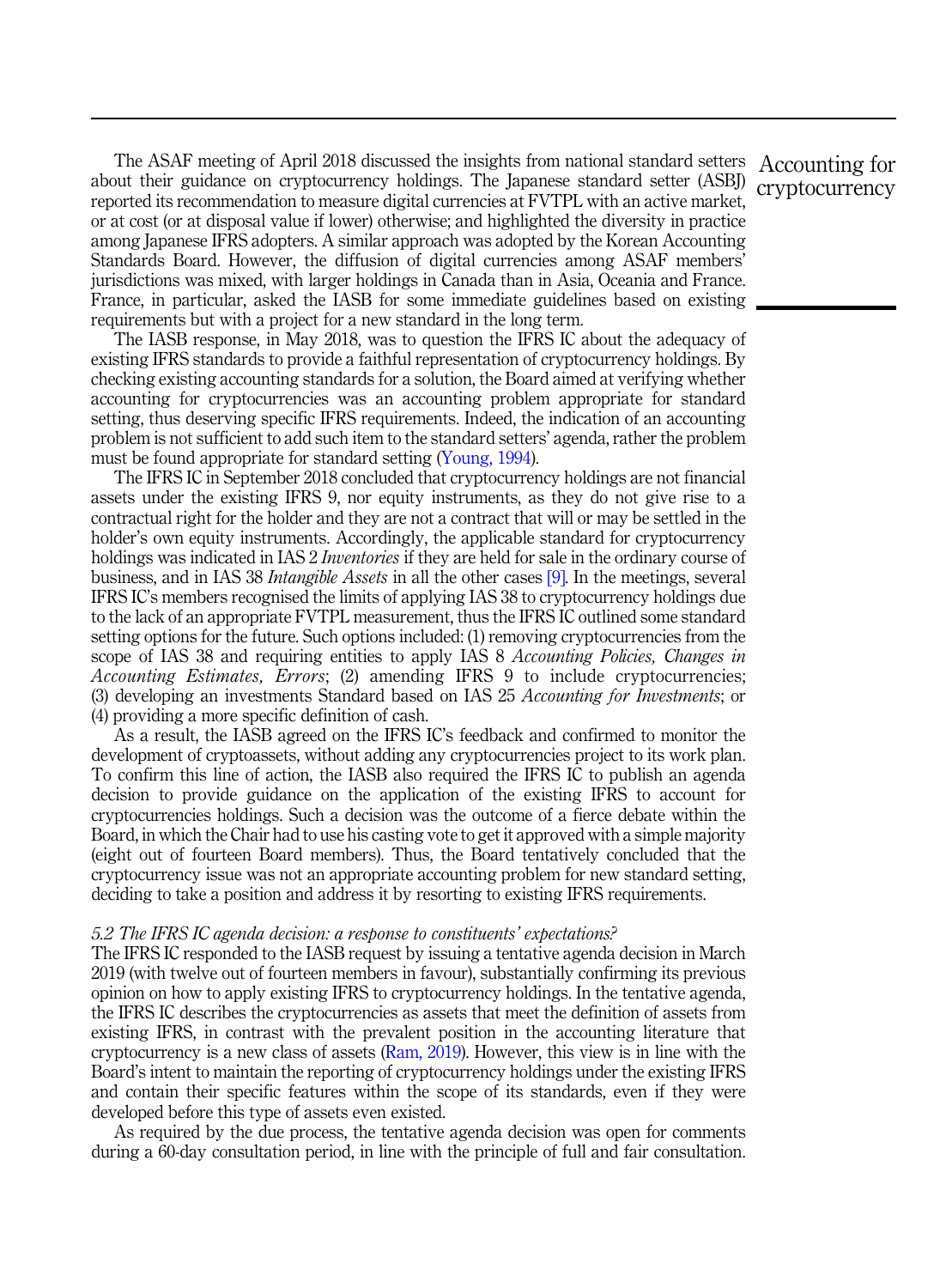The ASAF meeting of April 2018 discussed the insights from national standard setters Accounting for about their guidance on cryptocurrency holdings. The Japanese standard setter (ASBJ) reported its recommendation to measure digital currencies at FVTPL with an active market, or at cost (or at disposal value if lower) otherwise; and highlighted the diversity in practice among Japanese IFRS adopters. A similar approach was adopted by the Korean Accounting Standards Board. However, the diffusion of digital currencies among ASAF members' jurisdictions was mixed, with larger holdings in Canada than in Asia, Oceania and France. France, in particular, asked the IASB for some immediate guidelines based on existing requirements but with a project for a new standard in the long term.

The IASB response, in May 2018, was to question the IFRS IC about the adequacy of existing IFRS standards to provide a faithful representation of cryptocurrency holdings. By checking existing accounting standards for a solution, the Board aimed at verifying whether accounting for cryptocurrencies was an accounting problem appropriate for standard setting, thus deserving specific IFRS requirements. Indeed, the indication of an accounting problem is not sufficient to add such item to the standard setters' agenda, rather the problem must be found appropriate for standard setting [\(Young, 1994\)](#page-25-0).

The IFRS IC in September 2018 concluded that cryptocurrency holdings are not financial assets under the existing IFRS 9, nor equity instruments, as they do not give rise to a contractual right for the holder and they are not a contract that will or may be settled in the holder's own equity instruments. Accordingly, the applicable standard for cryptocurrency holdings was indicated in IAS 2 *Inventories* if they are held for sale in the ordinary course of business, and in IAS 38 *Intangible Assets* in all the other cases [\[9\].](#page-21-0) In the meetings, several IFRS IC's members recognised the limits of applying IAS 38 to cryptocurrency holdings due to the lack of an appropriate FVTPL measurement, thus the IFRS IC outlined some standard setting options for the future. Such options included: (1) removing cryptocurrencies from the scope of IAS 38 and requiring entities to apply IAS 8 Accounting Policies, Changes in Accounting Estimates, Errors; (2) amending IFRS 9 to include cryptocurrencies; (3) developing an investments Standard based on IAS 25 Accounting for Investments; or (4) providing a more specific definition of cash.

As a result, the IASB agreed on the IFRS IC's feedback and confirmed to monitor the development of cryptoassets, without adding any cryptocurrencies project to its work plan. To confirm this line of action, the IASB also required the IFRS IC to publish an agenda decision to provide guidance on the application of the existing IFRS to account for cryptocurrencies holdings. Such a decision was the outcome of a fierce debate within the Board, in which the Chair had to use his casting vote to get it approved with a simple majority (eight out of fourteen Board members). Thus, the Board tentatively concluded that the cryptocurrency issue was not an appropriate accounting problem for new standard setting, deciding to take a position and address it by resorting to existing IFRS requirements.

#### 5.2 The IFRS IC agenda decision: a response to constituents' expectations?

The IFRS IC responded to the IASB request by issuing a tentative agenda decision in March 2019 (with twelve out of fourteen members in favour), substantially confirming its previous opinion on how to apply existing IFRS to cryptocurrency holdings. In the tentative agenda, the IFRS IC describes the cryptocurrencies as assets that meet the definition of assets from existing IFRS, in contrast with the prevalent position in the accounting literature that cryptocurrency is a new class of assets  $(Ram, 2019)$  $(Ram, 2019)$ . However, this view is in line with the Board's intent to maintain the reporting of cryptocurrency holdings under the existing IFRS and contain their specific features within the scope of its standards, even if they were developed before this type of assets even existed.

As required by the due process, the tentative agenda decision was open for comments during a 60-day consultation period, in line with the principle of full and fair consultation.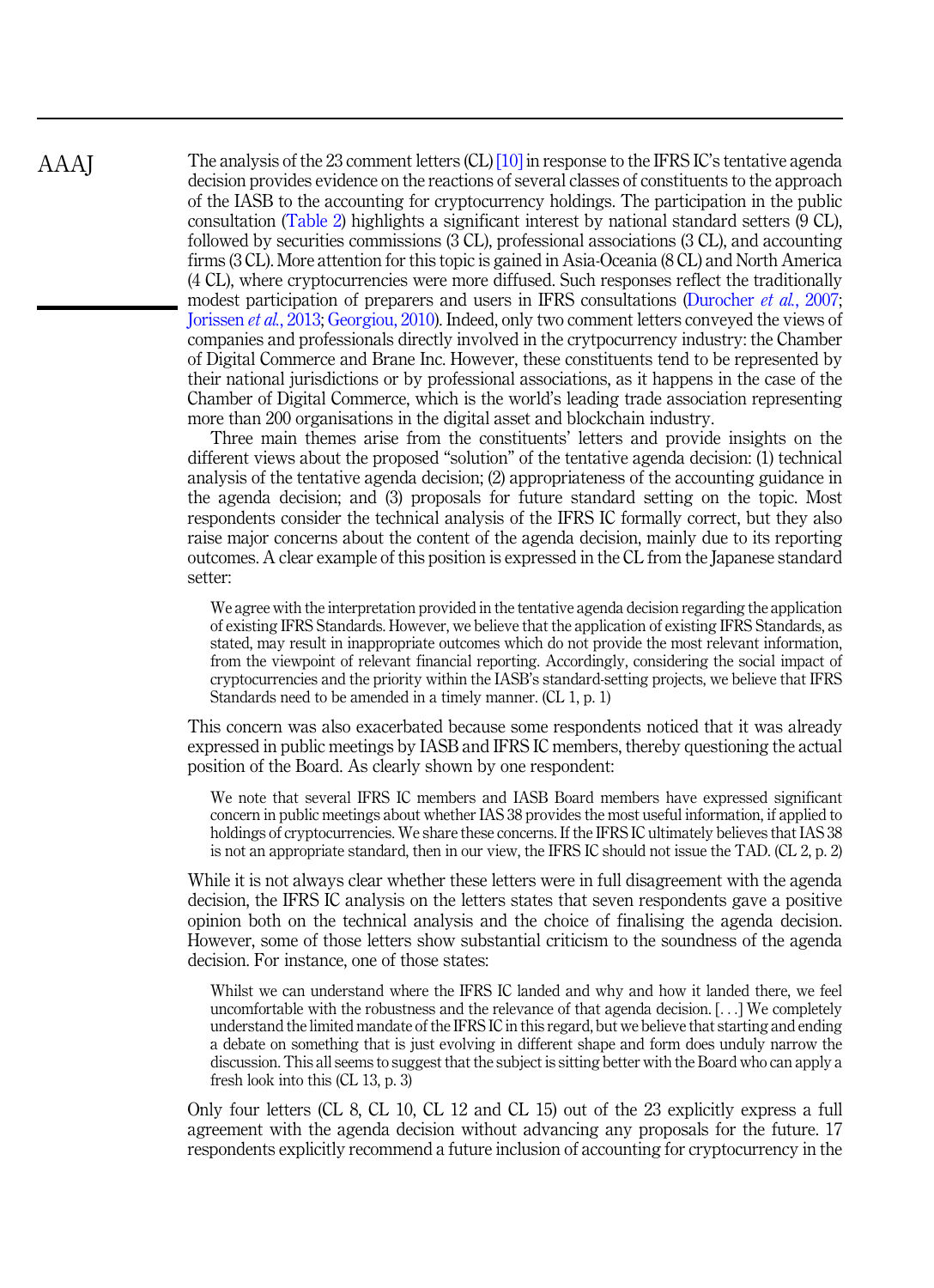The analysis of the 23 comment letters (CL) [\[10\]](#page-21-0) in response to the IFRS IC's tentative agenda decision provides evidence on the reactions of several classes of constituents to the approach of the IASB to the accounting for cryptocurrency holdings. The participation in the public consultation [\(Table 2](#page-12-0)) highlights a significant interest by national standard setters (9 CL), followed by securities commissions (3 CL), professional associations (3 CL), and accounting firms (3 CL). More attention for this topic is gained in Asia-Oceania (8 CL) and North America (4 CL), where cryptocurrencies were more diffused. Such responses reflect the traditionally modest participation of preparers and users in IFRS consultations [\(Durocher](#page-22-0) *et al.*, 2007; [Jorissen](#page-24-0) *et al.*, 2013; [Georgiou, 2010\)](#page-23-0). Indeed, only two comment letters conveyed the views of companies and professionals directly involved in the crytpocurrency industry: the Chamber of Digital Commerce and Brane Inc. However, these constituents tend to be represented by their national jurisdictions or by professional associations, as it happens in the case of the Chamber of Digital Commerce, which is the world's leading trade association representing more than 200 organisations in the digital asset and blockchain industry.

Three main themes arise from the constituents' letters and provide insights on the different views about the proposed "solution" of the tentative agenda decision: (1) technical analysis of the tentative agenda decision; (2) appropriateness of the accounting guidance in the agenda decision; and (3) proposals for future standard setting on the topic. Most respondents consider the technical analysis of the IFRS IC formally correct, but they also raise major concerns about the content of the agenda decision, mainly due to its reporting outcomes. A clear example of this position is expressed in the CL from the Japanese standard setter:

We agree with the interpretation provided in the tentative agenda decision regarding the application of existing IFRS Standards. However, we believe that the application of existing IFRS Standards, as stated, may result in inappropriate outcomes which do not provide the most relevant information, from the viewpoint of relevant financial reporting. Accordingly, considering the social impact of cryptocurrencies and the priority within the IASB's standard-setting projects, we believe that IFRS Standards need to be amended in a timely manner. (CL 1, p. 1)

This concern was also exacerbated because some respondents noticed that it was already expressed in public meetings by IASB and IFRS IC members, thereby questioning the actual position of the Board. As clearly shown by one respondent:

We note that several IFRS IC members and IASB Board members have expressed significant concern in public meetings about whether IAS 38 provides the most useful information, if applied to holdings of cryptocurrencies. We share these concerns. If the IFRS IC ultimately believes that IAS 38 is not an appropriate standard, then in our view, the IFRS IC should not issue the TAD. (CL 2, p. 2)

While it is not always clear whether these letters were in full disagreement with the agenda decision, the IFRS IC analysis on the letters states that seven respondents gave a positive opinion both on the technical analysis and the choice of finalising the agenda decision. However, some of those letters show substantial criticism to the soundness of the agenda decision. For instance, one of those states:

Whilst we can understand where the IFRS IC landed and why and how it landed there, we feel uncomfortable with the robustness and the relevance of that agenda decision. [...] We completely understand the limited mandate of the IFRS IC in this regard, but we believe that starting and ending a debate on something that is just evolving in different shape and form does unduly narrow the discussion. This all seems to suggest that the subject is sitting better with the Board who can apply a fresh look into this (CL 13, p. 3)

Only four letters (CL 8, CL 10, CL 12 and CL 15) out of the 23 explicitly express a full agreement with the agenda decision without advancing any proposals for the future. 17 respondents explicitly recommend a future inclusion of accounting for cryptocurrency in the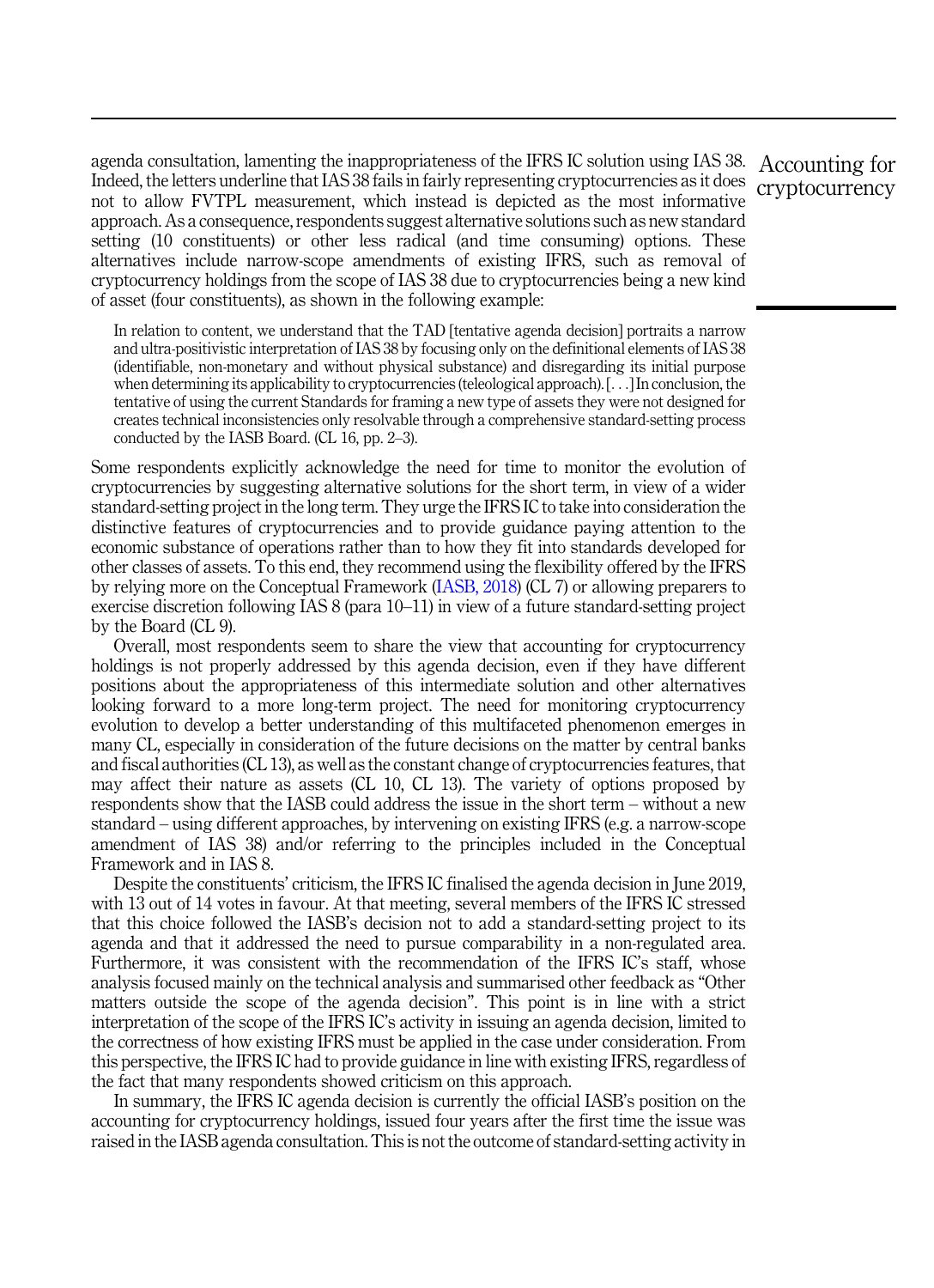agenda consultation, lamenting the inappropriateness of the IFRS IC solution using IAS 38. Accounting for Indeed, the letters underline that IAS 38 fails in fairly representing cryptocurrencies as it does not to allow FVTPL measurement, which instead is depicted as the most informative approach. As a consequence, respondents suggest alternative solutions such as new standard setting (10 constituents) or other less radical (and time consuming) options. These alternatives include narrow-scope amendments of existing IFRS, such as removal of cryptocurrency holdings from the scope of IAS 38 due to cryptocurrencies being a new kind of asset (four constituents), as shown in the following example:

In relation to content, we understand that the TAD [tentative agenda decision] portraits a narrow and ultra-positivistic interpretation of IAS 38 by focusing only on the definitional elements of IAS 38 (identifiable, non-monetary and without physical substance) and disregarding its initial purpose when determining its applicability to cryptocurrencies (teleological approach). [...] In conclusion, the tentative of using the current Standards for framing a new type of assets they were not designed for creates technical inconsistencies only resolvable through a comprehensive standard-setting process conducted by the IASB Board. (CL 16, pp. 2–3).

Some respondents explicitly acknowledge the need for time to monitor the evolution of cryptocurrencies by suggesting alternative solutions for the short term, in view of a wider standard-setting project in the long term. They urge the IFRS IC to take into consideration the distinctive features of cryptocurrencies and to provide guidance paying attention to the economic substance of operations rather than to how they fit into standards developed for other classes of assets. To this end, they recommend using the flexibility offered by the IFRS by relying more on the Conceptual Framework ([IASB, 2018](#page-23-0)) (CL 7) or allowing preparers to exercise discretion following IAS 8 (para 10–11) in view of a future standard-setting project by the Board (CL 9).

Overall, most respondents seem to share the view that accounting for cryptocurrency holdings is not properly addressed by this agenda decision, even if they have different positions about the appropriateness of this intermediate solution and other alternatives looking forward to a more long-term project. The need for monitoring cryptocurrency evolution to develop a better understanding of this multifaceted phenomenon emerges in many CL, especially in consideration of the future decisions on the matter by central banks and fiscal authorities (CL 13), as well as the constant change of cryptocurrencies features, that may affect their nature as assets (CL 10, CL 13). The variety of options proposed by respondents show that the IASB could address the issue in the short term – without a new standard – using different approaches, by intervening on existing IFRS (e.g. a narrow-scope amendment of IAS 38) and/or referring to the principles included in the Conceptual Framework and in IAS 8.

Despite the constituents' criticism, the IFRS IC finalised the agenda decision in June 2019, with 13 out of 14 votes in favour. At that meeting, several members of the IFRS IC stressed that this choice followed the IASB's decision not to add a standard-setting project to its agenda and that it addressed the need to pursue comparability in a non-regulated area. Furthermore, it was consistent with the recommendation of the IFRS IC's staff, whose analysis focused mainly on the technical analysis and summarised other feedback as "Other matters outside the scope of the agenda decision". This point is in line with a strict interpretation of the scope of the IFRS IC's activity in issuing an agenda decision, limited to the correctness of how existing IFRS must be applied in the case under consideration. From this perspective, the IFRS IC had to provide guidance in line with existing IFRS, regardless of the fact that many respondents showed criticism on this approach.

In summary, the IFRS IC agenda decision is currently the official IASB's position on the accounting for cryptocurrency holdings, issued four years after the first time the issue was raised in the IASB agenda consultation. This is not the outcome of standard-setting activity in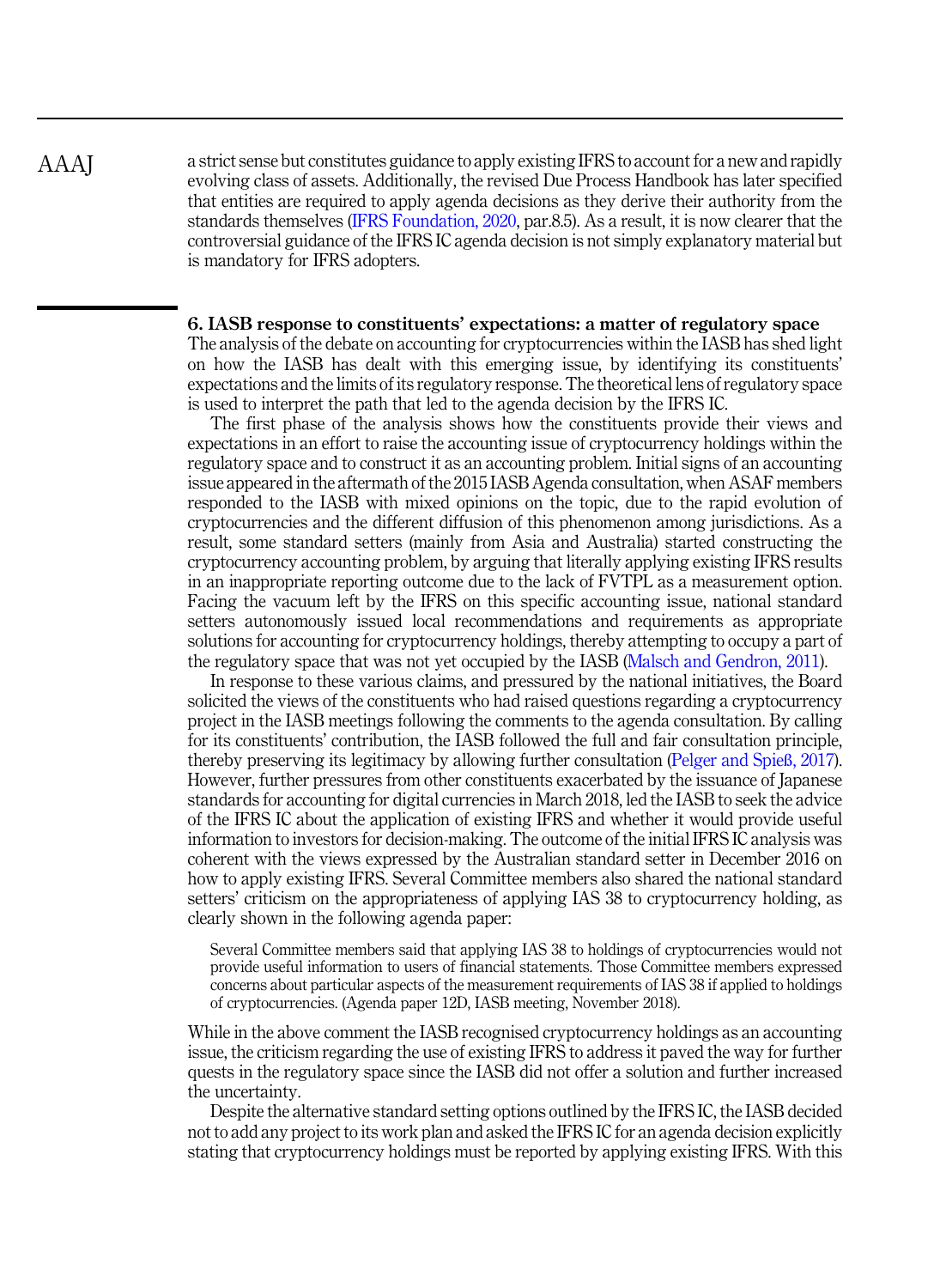a strict sense but constitutes guidance to apply existing IFRS to account for a new and rapidly evolving class of assets. Additionally, the revised Due Process Handbook has later specified that entities are required to apply agenda decisions as they derive their authority from the standards themselves ([IFRS Foundation, 2020,](#page-23-0) par.8.5). As a result, it is now clearer that the controversial guidance of the IFRS IC agenda decision is not simply explanatory material but is mandatory for IFRS adopters.

# 6. IASB response to constituents' expectations: a matter of regulatory space

The analysis of the debate on accounting for cryptocurrencies within the IASB has shed light on how the IASB has dealt with this emerging issue, by identifying its constituents' expectations and the limits of its regulatory response. The theoretical lens of regulatory space is used to interpret the path that led to the agenda decision by the IFRS IC.

The first phase of the analysis shows how the constituents provide their views and expectations in an effort to raise the accounting issue of cryptocurrency holdings within the regulatory space and to construct it as an accounting problem. Initial signs of an accounting issue appeared in the aftermath of the 2015 IASB Agenda consultation, when ASAF members responded to the IASB with mixed opinions on the topic, due to the rapid evolution of cryptocurrencies and the different diffusion of this phenomenon among jurisdictions. As a result, some standard setters (mainly from Asia and Australia) started constructing the cryptocurrency accounting problem, by arguing that literally applying existing IFRS results in an inappropriate reporting outcome due to the lack of FVTPL as a measurement option. Facing the vacuum left by the IFRS on this specific accounting issue, national standard setters autonomously issued local recommendations and requirements as appropriate solutions for accounting for cryptocurrency holdings, thereby attempting to occupy a part of the regulatory space that was not yet occupied by the IASB ([Malsch and Gendron, 2011](#page-24-0)).

In response to these various claims, and pressured by the national initiatives, the Board solicited the views of the constituents who had raised questions regarding a cryptocurrency project in the IASB meetings following the comments to the agenda consultation. By calling for its constituents' contribution, the IASB followed the full and fair consultation principle, thereby preserving its legitimacy by allowing further consultation ([Pelger and Spie](#page-25-0)ß, 2017). However, further pressures from other constituents exacerbated by the issuance of Japanese standards for accounting for digital currencies in March 2018, led the IASB to seek the advice of the IFRS IC about the application of existing IFRS and whether it would provide useful information to investors for decision-making. The outcome of the initial IFRS IC analysis was coherent with the views expressed by the Australian standard setter in December 2016 on how to apply existing IFRS. Several Committee members also shared the national standard setters' criticism on the appropriateness of applying IAS 38 to cryptocurrency holding, as clearly shown in the following agenda paper:

Several Committee members said that applying IAS 38 to holdings of cryptocurrencies would not provide useful information to users of financial statements. Those Committee members expressed concerns about particular aspects of the measurement requirements of IAS 38 if applied to holdings of cryptocurrencies. (Agenda paper 12D, IASB meeting, November 2018).

While in the above comment the IASB recognised cryptocurrency holdings as an accounting issue, the criticism regarding the use of existing IFRS to address it paved the way for further quests in the regulatory space since the IASB did not offer a solution and further increased the uncertainty.

Despite the alternative standard setting options outlined by the IFRS IC, the IASB decided not to add any project to its work plan and asked the IFRS IC for an agenda decision explicitly stating that cryptocurrency holdings must be reported by applying existing IFRS. With this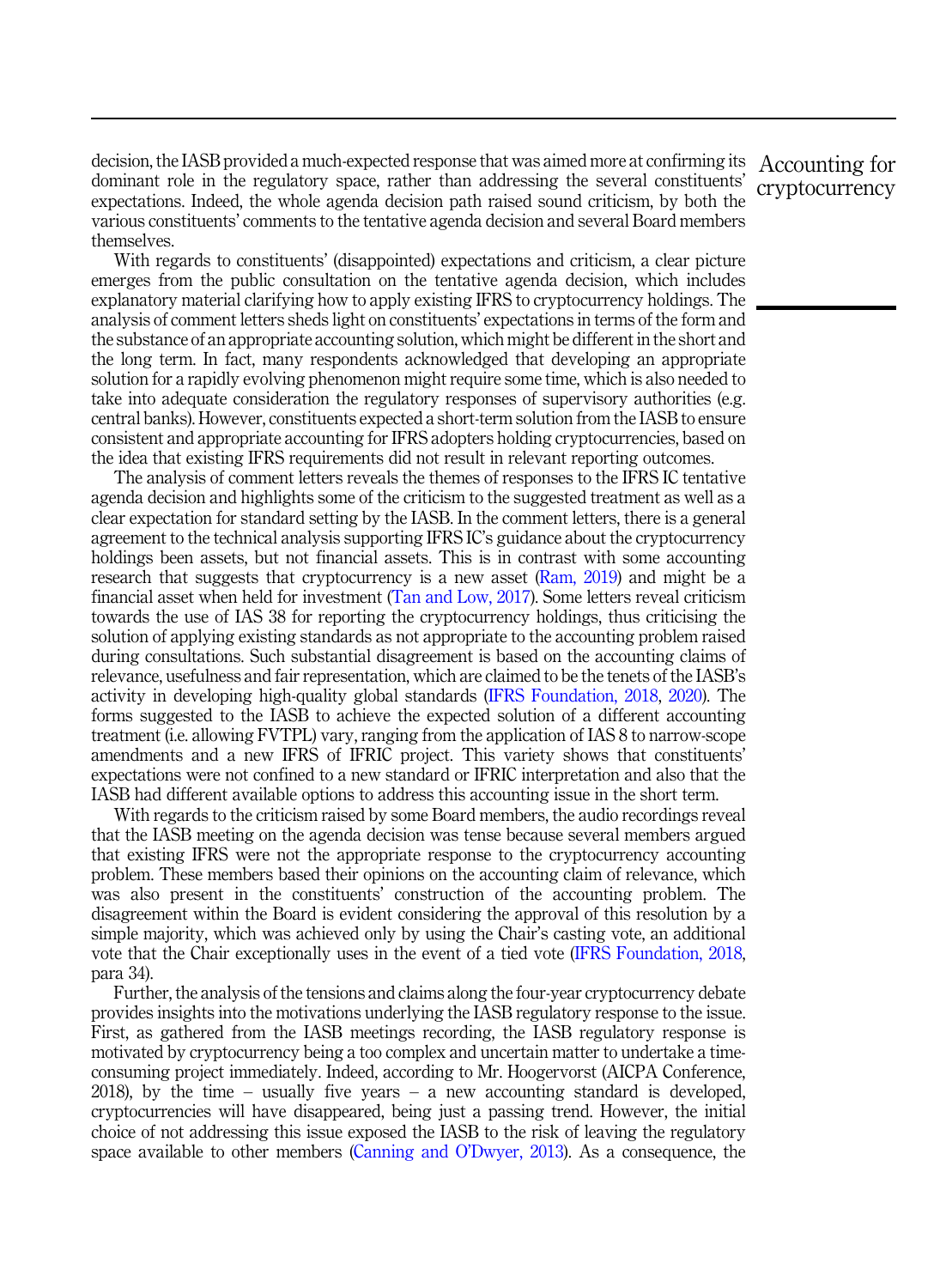decision, the IASB provided a much-expected response that was aimed more at confirming its dominant role in the regulatory space, rather than addressing the several constituents' expectations. Indeed, the whole agenda decision path raised sound criticism, by both the various constituents' comments to the tentative agenda decision and several Board members themselves.

With regards to constituents' (disappointed) expectations and criticism, a clear picture emerges from the public consultation on the tentative agenda decision, which includes explanatory material clarifying how to apply existing IFRS to cryptocurrency holdings. The analysis of comment letters sheds light on constituents' expectations in terms of the form and the substance of an appropriate accounting solution, which might be different in the short and the long term. In fact, many respondents acknowledged that developing an appropriate solution for a rapidly evolving phenomenon might require some time, which is also needed to take into adequate consideration the regulatory responses of supervisory authorities (e.g. central banks). However, constituents expected a short-term solution from the IASB to ensure consistent and appropriate accounting for IFRS adopters holding cryptocurrencies, based on the idea that existing IFRS requirements did not result in relevant reporting outcomes.

The analysis of comment letters reveals the themes of responses to the IFRS IC tentative agenda decision and highlights some of the criticism to the suggested treatment as well as a clear expectation for standard setting by the IASB. In the comment letters, there is a general agreement to the technical analysis supporting IFRS IC's guidance about the cryptocurrency holdings been assets, but not financial assets. This is in contrast with some accounting research that suggests that cryptocurrency is a new asset [\(Ram, 2019](#page-25-0)) and might be a financial asset when held for investment ([Tan and Low, 2017](#page-25-0)). Some letters reveal criticism towards the use of IAS 38 for reporting the cryptocurrency holdings, thus criticising the solution of applying existing standards as not appropriate to the accounting problem raised during consultations. Such substantial disagreement is based on the accounting claims of relevance, usefulness and fair representation, which are claimed to be the tenets of the IASB's activity in developing high-quality global standards ([IFRS Foundation, 2018,](#page-23-0) [2020](#page-23-0)). The forms suggested to the IASB to achieve the expected solution of a different accounting treatment (i.e. allowing FVTPL) vary, ranging from the application of IAS 8 to narrow-scope amendments and a new IFRS of IFRIC project. This variety shows that constituents' expectations were not confined to a new standard or IFRIC interpretation and also that the IASB had different available options to address this accounting issue in the short term.

With regards to the criticism raised by some Board members, the audio recordings reveal that the IASB meeting on the agenda decision was tense because several members argued that existing IFRS were not the appropriate response to the cryptocurrency accounting problem. These members based their opinions on the accounting claim of relevance, which was also present in the constituents' construction of the accounting problem. The disagreement within the Board is evident considering the approval of this resolution by a simple majority, which was achieved only by using the Chair's casting vote, an additional vote that the Chair exceptionally uses in the event of a tied vote ([IFRS Foundation, 2018](#page-23-0), para 34).

Further, the analysis of the tensions and claims along the four-year cryptocurrency debate provides insights into the motivations underlying the IASB regulatory response to the issue. First, as gathered from the IASB meetings recording, the IASB regulatory response is motivated by cryptocurrency being a too complex and uncertain matter to undertake a timeconsuming project immediately. Indeed, according to Mr. Hoogervorst (AICPA Conference, 2018), by the time – usually five years – a new accounting standard is developed, cryptocurrencies will have disappeared, being just a passing trend. However, the initial choice of not addressing this issue exposed the IASB to the risk of leaving the regulatory space available to other members ([Canning and O](#page-22-0)'Dwyer, 2013). As a consequence, the

Accounting for cryptocurrency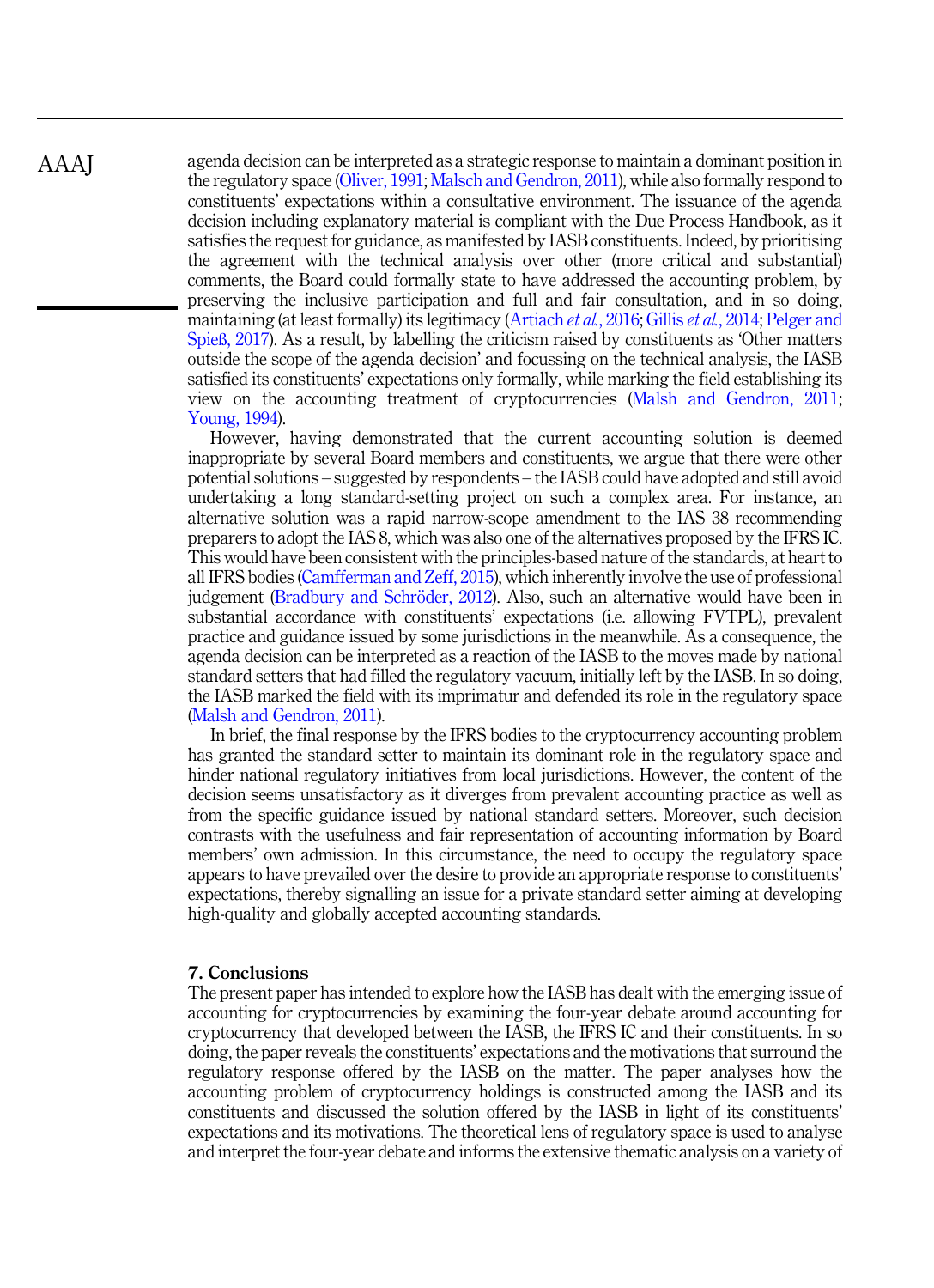agenda decision can be interpreted as a strategic response to maintain a dominant position in the regulatory space [\(Oliver, 1991;](#page-24-0) [Malsch and Gendron, 2011\)](#page-24-0), while also formally respond to constituents' expectations within a consultative environment. The issuance of the agenda decision including explanatory material is compliant with the Due Process Handbook, as it satisfies the request for guidance, as manifested by IASB constituents. Indeed, by prioritising the agreement with the technical analysis over other (more critical and substantial) comments, the Board could formally state to have addressed the accounting problem, by preserving the inclusive participation and full and fair consultation, and in so doing, maintaining (at least formally) its legitimacy [\(Artiach](#page-21-0) et al., 2016; Gillis et al.[, 2014](#page-23-0); [Pelger and](#page-25-0) Spieß[, 2017](#page-25-0)). As a result, by labelling the criticism raised by constituents as 'Other matters outside the scope of the agenda decision' and focussing on the technical analysis, the IASB satisfied its constituents' expectations only formally, while marking the field establishing its view on the accounting treatment of cryptocurrencies [\(Malsh and Gendron, 2011](#page-24-0); [Young, 1994\)](#page-25-0).

However, having demonstrated that the current accounting solution is deemed inappropriate by several Board members and constituents, we argue that there were other potential solutions – suggested by respondents – the IASB could have adopted and still avoid undertaking a long standard-setting project on such a complex area. For instance, an alternative solution was a rapid narrow-scope amendment to the IAS 38 recommending preparers to adopt the IAS 8, which was also one of the alternatives proposed by the IFRS IC. This would have been consistent with the principles-based nature of the standards, at heart to all IFRS bodies ([Camfferman and Zeff, 2015](#page-22-0)), which inherently involve the use of professional judgement [\(Bradbury and Schr](#page-22-0)ö[der, 2012](#page-22-0)). Also, such an alternative would have been in substantial accordance with constituents' expectations (i.e. allowing FVTPL), prevalent practice and guidance issued by some jurisdictions in the meanwhile. As a consequence, the agenda decision can be interpreted as a reaction of the IASB to the moves made by national standard setters that had filled the regulatory vacuum, initially left by the IASB. In so doing, the IASB marked the field with its imprimatur and defended its role in the regulatory space ([Malsh and Gendron, 2011](#page-24-0)).

In brief, the final response by the IFRS bodies to the cryptocurrency accounting problem has granted the standard setter to maintain its dominant role in the regulatory space and hinder national regulatory initiatives from local jurisdictions. However, the content of the decision seems unsatisfactory as it diverges from prevalent accounting practice as well as from the specific guidance issued by national standard setters. Moreover, such decision contrasts with the usefulness and fair representation of accounting information by Board members' own admission. In this circumstance, the need to occupy the regulatory space appears to have prevailed over the desire to provide an appropriate response to constituents' expectations, thereby signalling an issue for a private standard setter aiming at developing high-quality and globally accepted accounting standards.

# 7. Conclusions

The present paper has intended to explore how the IASB has dealt with the emerging issue of accounting for cryptocurrencies by examining the four-year debate around accounting for cryptocurrency that developed between the IASB, the IFRS IC and their constituents. In so doing, the paper reveals the constituents' expectations and the motivations that surround the regulatory response offered by the IASB on the matter. The paper analyses how the accounting problem of cryptocurrency holdings is constructed among the IASB and its constituents and discussed the solution offered by the IASB in light of its constituents' expectations and its motivations. The theoretical lens of regulatory space is used to analyse and interpret the four-year debate and informs the extensive thematic analysis on a variety of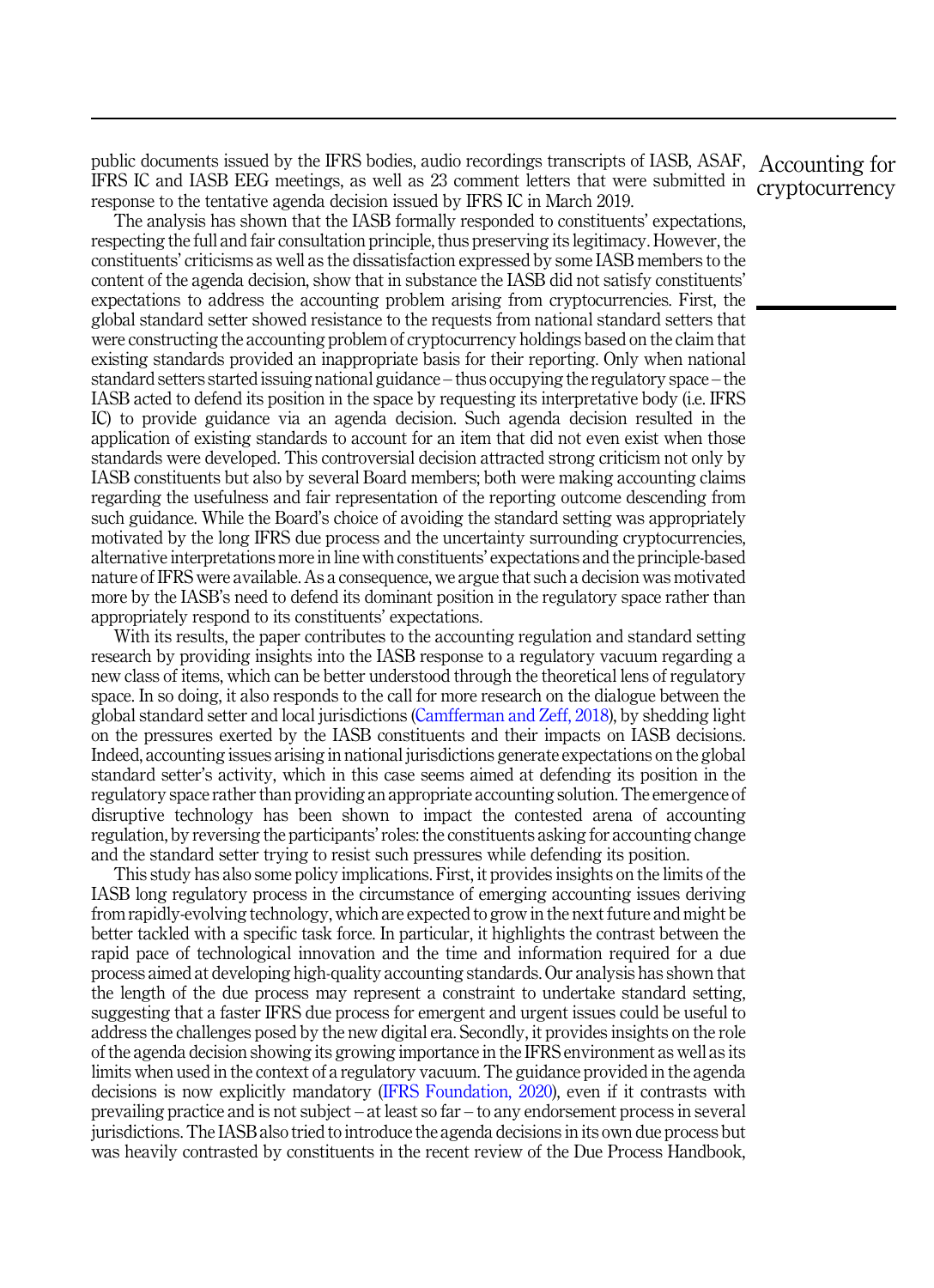public documents issued by the IFRS bodies, audio recordings transcripts of IASB, ASAF, Accounting for IFRS IC and IASB EEG meetings, as well as 23 comment letters that were submitted in cryptocurrency response to the tentative agenda decision issued by IFRS IC in March 2019.

The analysis has shown that the IASB formally responded to constituents' expectations, respecting the full and fair consultation principle, thus preserving its legitimacy. However, the constituents' criticisms as well as the dissatisfaction expressed by some IASB members to the content of the agenda decision, show that in substance the IASB did not satisfy constituents' expectations to address the accounting problem arising from cryptocurrencies. First, the global standard setter showed resistance to the requests from national standard setters that were constructing the accounting problem of cryptocurrency holdings based on the claim that existing standards provided an inappropriate basis for their reporting. Only when national standard setters started issuing national guidance – thus occupying the regulatory space – the IASB acted to defend its position in the space by requesting its interpretative body (i.e. IFRS IC) to provide guidance via an agenda decision. Such agenda decision resulted in the application of existing standards to account for an item that did not even exist when those standards were developed. This controversial decision attracted strong criticism not only by IASB constituents but also by several Board members; both were making accounting claims regarding the usefulness and fair representation of the reporting outcome descending from such guidance. While the Board's choice of avoiding the standard setting was appropriately motivated by the long IFRS due process and the uncertainty surrounding cryptocurrencies, alternative interpretations more in line with constituents' expectations and the principle-based nature of IFRS were available. As a consequence, we argue that such a decision was motivated more by the IASB's need to defend its dominant position in the regulatory space rather than appropriately respond to its constituents' expectations.

With its results, the paper contributes to the accounting regulation and standard setting research by providing insights into the IASB response to a regulatory vacuum regarding a new class of items, which can be better understood through the theoretical lens of regulatory space. In so doing, it also responds to the call for more research on the dialogue between the global standard setter and local jurisdictions ([Camfferman and Zeff, 2018\)](#page-22-0), by shedding light on the pressures exerted by the IASB constituents and their impacts on IASB decisions. Indeed, accounting issues arising in national jurisdictions generate expectations on the global standard setter's activity, which in this case seems aimed at defending its position in the regulatory space rather than providing an appropriate accounting solution. The emergence of disruptive technology has been shown to impact the contested arena of accounting regulation, by reversing the participants'roles: the constituents asking for accounting change and the standard setter trying to resist such pressures while defending its position.

This study has also some policy implications. First, it provides insights on the limits of the IASB long regulatory process in the circumstance of emerging accounting issues deriving from rapidly-evolving technology, which are expected to grow in the next future and might be better tackled with a specific task force. In particular, it highlights the contrast between the rapid pace of technological innovation and the time and information required for a due process aimed at developing high-quality accounting standards. Our analysis has shown that the length of the due process may represent a constraint to undertake standard setting, suggesting that a faster IFRS due process for emergent and urgent issues could be useful to address the challenges posed by the new digital era. Secondly, it provides insights on the role of the agenda decision showing its growing importance in the IFRS environment as well as its limits when used in the context of a regulatory vacuum. The guidance provided in the agenda decisions is now explicitly mandatory [\(IFRS Foundation, 2020\)](#page-23-0), even if it contrasts with prevailing practice and is not subject – at least so far – to any endorsement process in several jurisdictions. The IASB also tried to introduce the agenda decisions in its own due process but was heavily contrasted by constituents in the recent review of the Due Process Handbook,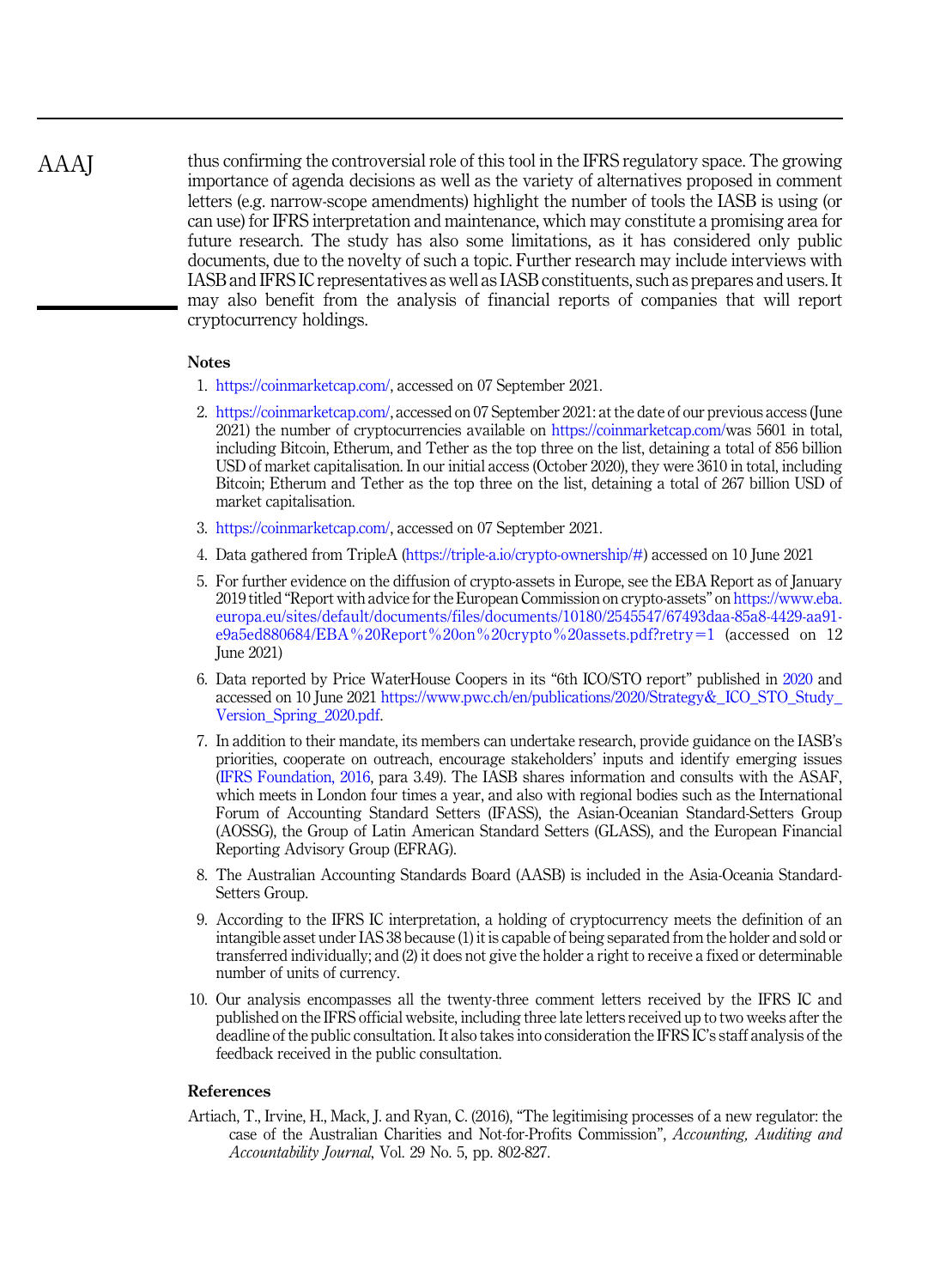<span id="page-21-0"></span>thus confirming the controversial role of this tool in the IFRS regulatory space. The growing importance of agenda decisions as well as the variety of alternatives proposed in comment letters (e.g. narrow-scope amendments) highlight the number of tools the IASB is using (or can use) for IFRS interpretation and maintenance, which may constitute a promising area for future research. The study has also some limitations, as it has considered only public documents, due to the novelty of such a topic. Further research may include interviews with IASB and IFRS IC representatives as well as IASB constituents, such as prepares and users. It may also benefit from the analysis of financial reports of companies that will report cryptocurrency holdings. AAAJ

# Notes

- 1. <https://coinmarketcap.com/>, accessed on 07 September 2021.
- 2. <https://coinmarketcap.com/>, accessed on 07 September 2021: at the date of our previous access (June 2021) the number of cryptocurrencies available on <https://coinmarketcap.com/>was 5601 in total, including Bitcoin, Etherum, and Tether as the top three on the list, detaining a total of 856 billion USD of market capitalisation. In our initial access (October 2020), they were 3610 in total, including Bitcoin; Etherum and Tether as the top three on the list, detaining a total of 267 billion USD of market capitalisation.
- 3. <https://coinmarketcap.com/>, accessed on 07 September 2021.
- 4. Data gathered from TripleA [\(https://triple-a.io/crypto-ownership/#](https://triple-a.io/crypto-ownership/)) accessed on 10 June 2021
- 5. For further evidence on the diffusion of crypto-assets in Europe, see the EBA Report as of January 2019 titled "Report with advice for the European Commission on crypto-assets" on [https://www.eba.](https://www.eba.europa.eu/sites/default/documents/files/documents/10180/2545547/67493daa-85a8-4429-aa91-e9a5ed880684/EBA%20Report%20on%20crypto%20assets.pdf?retry=1) [europa.eu/sites/default/documents/files/documents/10180/2545547/67493daa-85a8-4429-aa91](https://www.eba.europa.eu/sites/default/documents/files/documents/10180/2545547/67493daa-85a8-4429-aa91-e9a5ed880684/EBA%20Report%20on%20crypto%20assets.pdf?retry=1) [e9a5ed880684/EBA%20Report%20on%20crypto%20assets.pdf?retry](https://www.eba.europa.eu/sites/default/documents/files/documents/10180/2545547/67493daa-85a8-4429-aa91-e9a5ed880684/EBA%20Report%20on%20crypto%20assets.pdf?retry=1)=[1](https://www.eba.europa.eu/sites/default/documents/files/documents/10180/2545547/67493daa-85a8-4429-aa91-e9a5ed880684/EBA%20Report%20on%20crypto%20assets.pdf?retry=1) (accessed on 12 June 2021)
- 6. Data reported by Price WaterHouse Coopers in its "6th ICO/STO report" published in [2020](#page-25-0) and accessed on 10 June 2021 [https://www.pwc.ch/en/publications/2020/Strategy&\\_ICO\\_STO\\_Study\\_](https://www.pwc.ch/en/publications/2020/Strategy&_ICO_STO_Study_Version_Spring_2020.pdf) [Version\\_Spring\\_2020.pdf.](https://www.pwc.ch/en/publications/2020/Strategy&_ICO_STO_Study_Version_Spring_2020.pdf)
- 7. In addition to their mandate, its members can undertake research, provide guidance on the IASB's priorities, cooperate on outreach, encourage stakeholders' inputs and identify emerging issues [\(IFRS Foundation, 2016,](#page-23-0) para 3.49). The IASB shares information and consults with the ASAF, which meets in London four times a year, and also with regional bodies such as the International Forum of Accounting Standard Setters (IFASS), the Asian-Oceanian Standard-Setters Group (AOSSG), the Group of Latin American Standard Setters (GLASS), and the European Financial Reporting Advisory Group (EFRAG).
- 8. The Australian Accounting Standards Board (AASB) is included in the Asia-Oceania Standard-Setters Group.
- 9. According to the IFRS IC interpretation, a holding of cryptocurrency meets the definition of an intangible asset under IAS 38 because (1) it is capable of being separated from the holder and sold or transferred individually; and (2) it does not give the holder a right to receive a fixed or determinable number of units of currency.
- 10. Our analysis encompasses all the twenty-three comment letters received by the IFRS IC and published on the IFRS official website, including three late letters received up to two weeks after the deadline of the public consultation. It also takes into consideration the IFRS IC's staff analysis of the feedback received in the public consultation.

# References

Artiach, T., Irvine, H., Mack, J. and Ryan, C. (2016), "The legitimising processes of a new regulator: the case of the Australian Charities and Not-for-Profits Commission", Accounting, Auditing and Accountability Journal, Vol. 29 No. 5, pp. 802-827.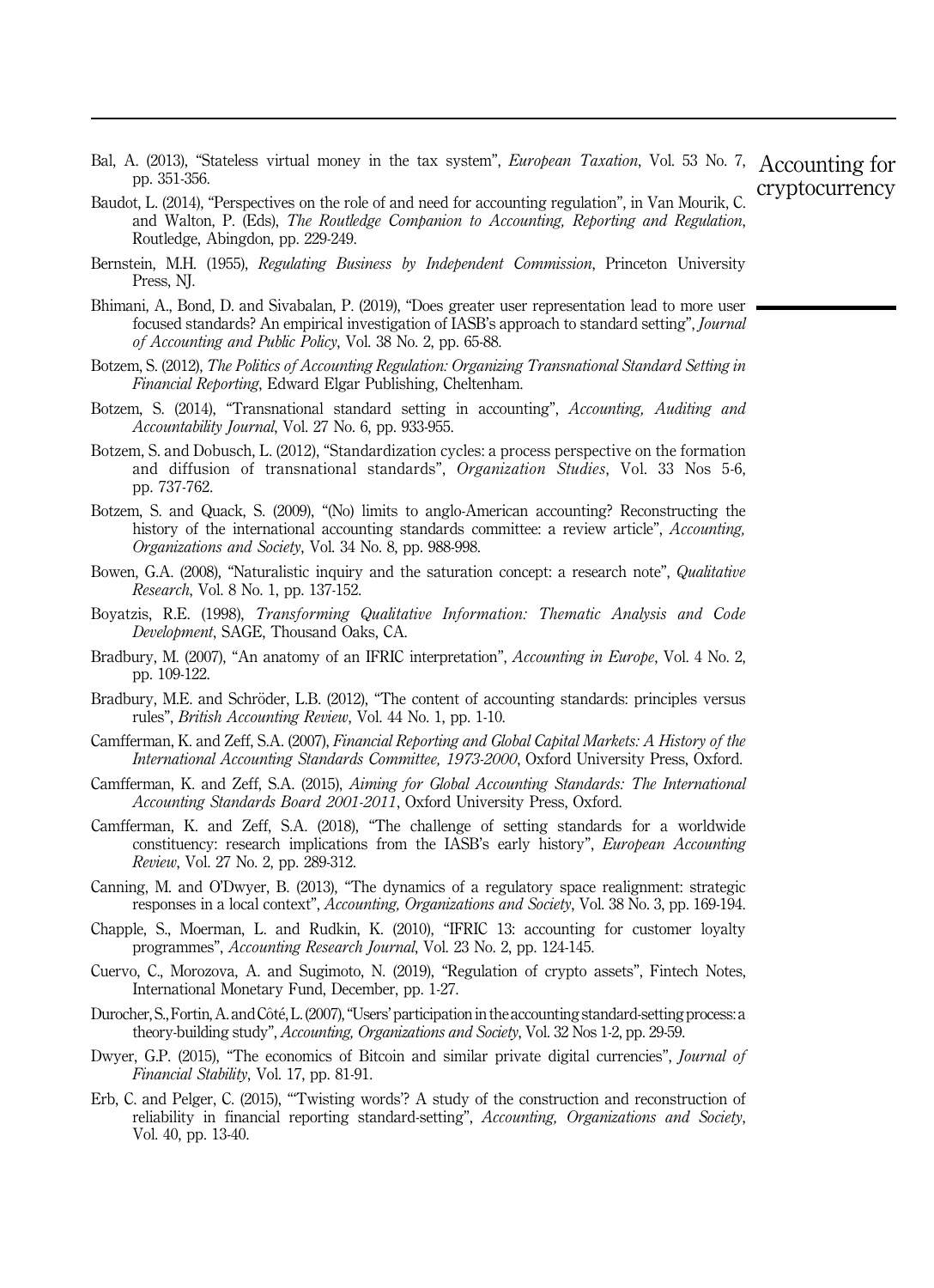- <span id="page-22-0"></span>Bal, A. (2013), "Stateless virtual money in the tax system", European Taxation, Vol. 53 No. 7, Accounting for pp. 351-356. cryptocurrency
- Baudot, L. (2014), "Perspectives on the role of and need for accounting regulation", in Van Mourik, C. and Walton, P. (Eds), The Routledge Companion to Accounting, Reporting and Regulation, Routledge, Abingdon, pp. 229-249.
- Bernstein, M.H. (1955), Regulating Business by Independent Commission, Princeton University Press, NJ.
- Bhimani, A., Bond, D. and Sivabalan, P. (2019), "Does greater user representation lead to more user focused standards? An empirical investigation of IASB's approach to standard setting", Journal of Accounting and Public Policy, Vol. 38 No. 2, pp. 65-88.
- Botzem, S. (2012), The Politics of Accounting Regulation: Organizing Transnational Standard Setting in Financial Reporting, Edward Elgar Publishing, Cheltenham.
- Botzem, S. (2014), "Transnational standard setting in accounting", Accounting, Auditing and Accountability Journal, Vol. 27 No. 6, pp. 933-955.
- Botzem, S. and Dobusch, L. (2012), "Standardization cycles: a process perspective on the formation and diffusion of transnational standards", Organization Studies, Vol. 33 Nos 5-6, pp. 737-762.
- Botzem, S. and Quack, S. (2009), "(No) limits to anglo-American accounting? Reconstructing the history of the international accounting standards committee: a review article", Accounting, Organizations and Society, Vol. 34 No. 8, pp. 988-998.
- Bowen, G.A. (2008), "Naturalistic inquiry and the saturation concept: a research note", Qualitative Research, Vol. 8 No. 1, pp. 137-152.
- Boyatzis, R.E. (1998), Transforming Qualitative Information: Thematic Analysis and Code Development, SAGE, Thousand Oaks, CA.
- Bradbury, M. (2007), "An anatomy of an IFRIC interpretation", Accounting in Europe, Vol. 4 No. 2, pp. 109-122.
- Bradbury, M.E. and Schröder, L.B. (2012), "The content of accounting standards: principles versus rules", British Accounting Review, Vol. 44 No. 1, pp. 1-10.
- Camfferman, K. and Zeff, S.A. (2007), Financial Reporting and Global Capital Markets: A History of the International Accounting Standards Committee, 1973-2000, Oxford University Press, Oxford.
- Camfferman, K. and Zeff, S.A. (2015), Aiming for Global Accounting Standards: The International Accounting Standards Board 2001-2011, Oxford University Press, Oxford.
- Camfferman, K. and Zeff, S.A. (2018), "The challenge of setting standards for a worldwide constituency: research implications from the IASB's early history", *European Accounting* Review, Vol. 27 No. 2, pp. 289-312.
- Canning, M. and O'Dwyer, B. (2013), "The dynamics of a regulatory space realignment: strategic responses in a local context", Accounting, Organizations and Society, Vol. 38 No. 3, pp. 169-194.
- Chapple, S., Moerman, L. and Rudkin, K. (2010), "IFRIC 13: accounting for customer loyalty programmes", Accounting Research Journal, Vol. 23 No. 2, pp. 124-145.
- Cuervo, C., Morozova, A. and Sugimoto, N. (2019), "Regulation of crypto assets", Fintech Notes, International Monetary Fund, December, pp. 1-27.
- Durocher, S., Fortin, A. and Côté, L. (2007), "Users' participation in the accounting standard-setting process: a theory-building study", Accounting, Organizations and Society, Vol. 32 Nos 1-2, pp. 29-59.
- Dwyer, G.P. (2015), "The economics of Bitcoin and similar private digital currencies", Journal of Financial Stability, Vol. 17, pp. 81-91.
- Erb, C. and Pelger, C. (2015), "'Twisting words'? A study of the construction and reconstruction of reliability in financial reporting standard-setting", Accounting, Organizations and Society, Vol. 40, pp. 13-40.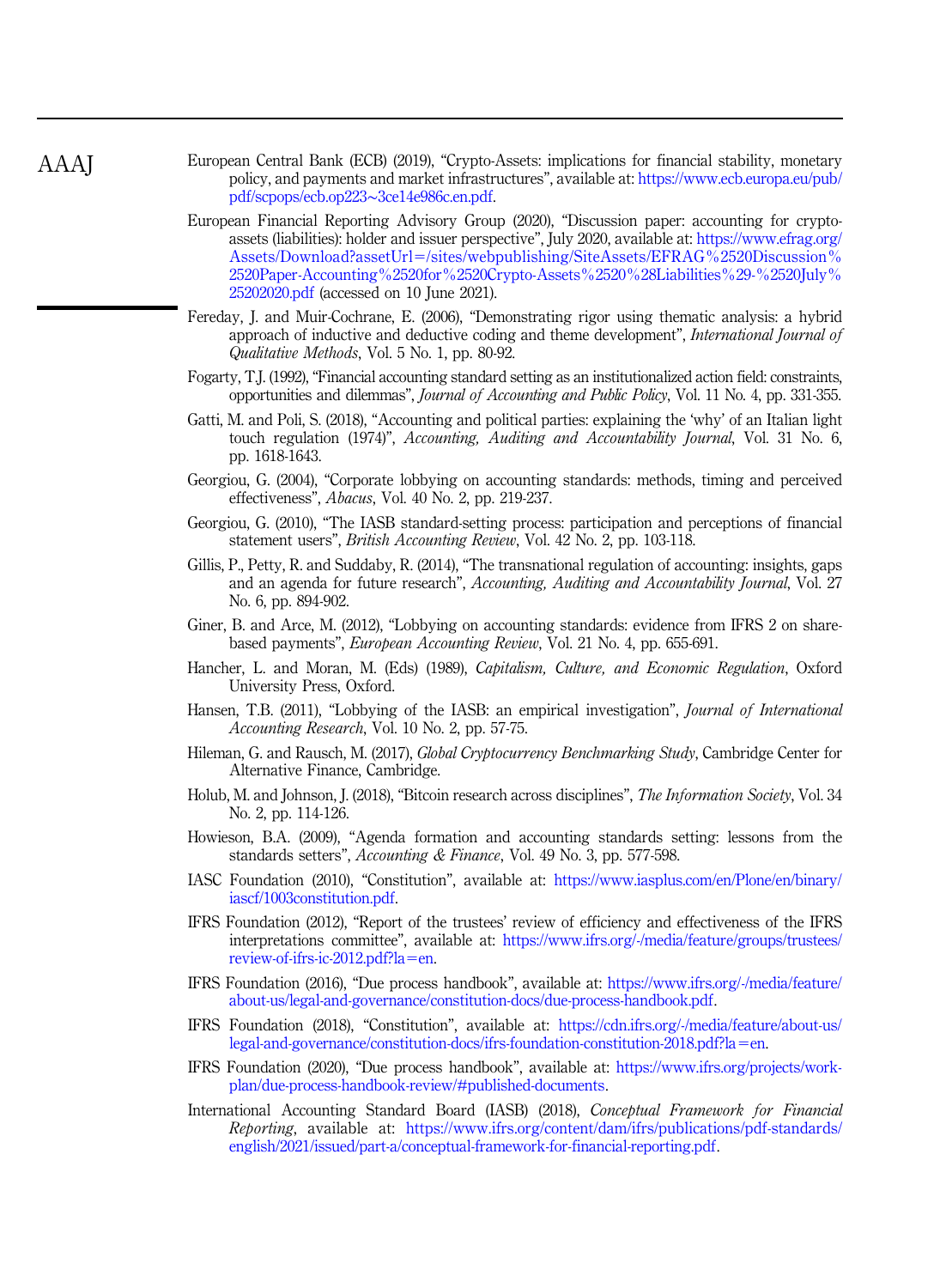<span id="page-23-0"></span>European Central Bank (ECB) (2019), "Crypto-Assets: implications for financial stability, monetary policy, and payments and market infrastructures", available at: [https://www.ecb.europa.eu/pub/](https://www.ecb.europa.eu/pub/pdf/scpops/ecb.op223~3ce14e986c.en.pdf) [pdf/scpops/ecb.op223](https://www.ecb.europa.eu/pub/pdf/scpops/ecb.op223~3ce14e986c.en.pdf)∼3ce14e986c.en.pdf.

- European Financial Reporting Advisory Group (2020), "Discussion paper: accounting for cryptoassets (liabilities): holder and issuer perspective", July 2020, available at: [https://www.efrag.org/](https://www.efrag.org/Assets/Download?assetUrl=/sites/webpublishing/SiteAssets/EFRAG%2520Discussion%2520Paper-Accounting%2520for%2520Crypto-Assets%2520%28Liabilities%29-%2520July%25202020.pdf) [Assets/Download?assetUrl](https://www.efrag.org/Assets/Download?assetUrl=/sites/webpublishing/SiteAssets/EFRAG%2520Discussion%2520Paper-Accounting%2520for%2520Crypto-Assets%2520%28Liabilities%29-%2520July%25202020.pdf)=[/sites/webpublishing/SiteAssets/EFRAG%2520Discussion%](https://www.efrag.org/Assets/Download?assetUrl=/sites/webpublishing/SiteAssets/EFRAG%2520Discussion%2520Paper-Accounting%2520for%2520Crypto-Assets%2520%28Liabilities%29-%2520July%25202020.pdf) [2520Paper-Accounting%2520for%2520Crypto-Assets%2520%28Liabilities%29-%2520July%](https://www.efrag.org/Assets/Download?assetUrl=/sites/webpublishing/SiteAssets/EFRAG%2520Discussion%2520Paper-Accounting%2520for%2520Crypto-Assets%2520%28Liabilities%29-%2520July%25202020.pdf) [25202020.pdf](https://www.efrag.org/Assets/Download?assetUrl=/sites/webpublishing/SiteAssets/EFRAG%2520Discussion%2520Paper-Accounting%2520for%2520Crypto-Assets%2520%28Liabilities%29-%2520July%25202020.pdf) (accessed on 10 June 2021).
- Fereday, J. and Muir-Cochrane, E. (2006), "Demonstrating rigor using thematic analysis: a hybrid approach of inductive and deductive coding and theme development", International Journal of Qualitative Methods, Vol. 5 No. 1, pp. 80-92.
- Fogarty, T.J. (1992), "Financial accounting standard setting as an institutionalized action field: constraints, opportunities and dilemmas", Journal of Accounting and Public Policy, Vol. 11 No. 4, pp. 331-355.
- Gatti, M. and Poli, S. (2018), "Accounting and political parties: explaining the 'why' of an Italian light touch regulation (1974)", Accounting, Auditing and Accountability Journal, Vol. 31 No. 6, pp. 1618-1643.
- Georgiou, G. (2004), "Corporate lobbying on accounting standards: methods, timing and perceived effectiveness", Abacus, Vol. 40 No. 2, pp. 219-237.
- Georgiou, G. (2010), "The IASB standard-setting process: participation and perceptions of financial statement users", British Accounting Review, Vol. 42 No. 2, pp. 103-118.
- Gillis, P., Petty, R. and Suddaby, R. (2014), "The transnational regulation of accounting: insights, gaps and an agenda for future research", Accounting, Auditing and Accountability Journal, Vol. 27 No. 6, pp. 894-902.
- Giner, B. and Arce, M. (2012), "Lobbying on accounting standards: evidence from IFRS 2 on sharebased payments", European Accounting Review, Vol. 21 No. 4, pp. 655-691.
- Hancher, L. and Moran, M. (Eds) (1989), Capitalism, Culture, and Economic Regulation, Oxford University Press, Oxford.
- Hansen, T.B. (2011), "Lobbying of the IASB: an empirical investigation", Journal of International Accounting Research, Vol. 10 No. 2, pp. 57-75.
- Hileman, G. and Rausch, M. (2017), Global Cryptocurrency Benchmarking Study, Cambridge Center for Alternative Finance, Cambridge.
- Holub, M. and Johnson, J. (2018), "Bitcoin research across disciplines", *The Information Society*, Vol. 34 No. 2, pp. 114-126.
- Howieson, B.A. (2009), "Agenda formation and accounting standards setting: lessons from the standards setters", Accounting & Finance, Vol. 49 No. 3, pp. 577-598.
- IASC Foundation (2010), "Constitution", available at: [https://www.iasplus.com/en/Plone/en/binary/](https://www.iasplus.com/en/Plone%20/en/binary/iascf/1003constitution.pdf) [iascf/1003constitution.pdf.](https://www.iasplus.com/en/Plone%20/en/binary/iascf/1003constitution.pdf)
- IFRS Foundation (2012), "Report of the trustees' review of efficiency and effectiveness of the IFRS interpretations committee", available at: [https://www.ifrs.org/-/media/feature/groups/trustees/](https://www.ifrs.org/-/media/feature/groups/trustees/review-of-ifrs-ic-2012.pdf?la=en)  $review-of-first-2012.pdf?$ la=[en](https://www.ifrs.org/-/media/feature/groups/trustees/review-of-ifrs-ic-2012.pdf?la=en).
- IFRS Foundation (2016), "Due process handbook", available at: [https://www.ifrs.org/-/media/feature/](https://www.ifrs.org/-/media/feature/about-us/legal-and-governance/constitution-docs/due-process-handbook.pdf) [about-us/legal-and-governance/constitution-docs/due-process-handbook.pdf](https://www.ifrs.org/-/media/feature/about-us/legal-and-governance/constitution-docs/due-process-handbook.pdf).
- IFRS Foundation (2018), "Constitution", available at: [https://cdn.ifrs.org/-/media/feature/about-us/](https://cdn.ifrs.org/-/media/feature/about-us/legal-and-governance/constitution-docs/ifrs-foundation-constitution-2018.pdf?la=en)  $\text{legal-and-governance/constitution-docs/ifrs-foundation-constitution-2018.pdf?}\$
- IFRS Foundation (2020), "Due process handbook", available at: [https://www.ifrs.org/projects/work](https://www.ifrs.org/projects/work-plan/due-process-handbook-review/#published-documents)[plan/due-process-handbook-review/#published-documents.](https://www.ifrs.org/projects/work-plan/due-process-handbook-review/#published-documents)
- International Accounting Standard Board (IASB) (2018), Conceptual Framework for Financial Reporting, available at: [https://www.ifrs.org/content/dam/ifrs/publications/pdf-standards/](https://www.ifrs.org/content/dam/ifrs/publications/pdf-standards/english/2021/issued/part-a/conceptual-framework-for-financial-reporting.pdf) [english/2021/issued/part-a/conceptual-framework-for-financial-reporting.pdf.](https://www.ifrs.org/content/dam/ifrs/publications/pdf-standards/english/2021/issued/part-a/conceptual-framework-for-financial-reporting.pdf)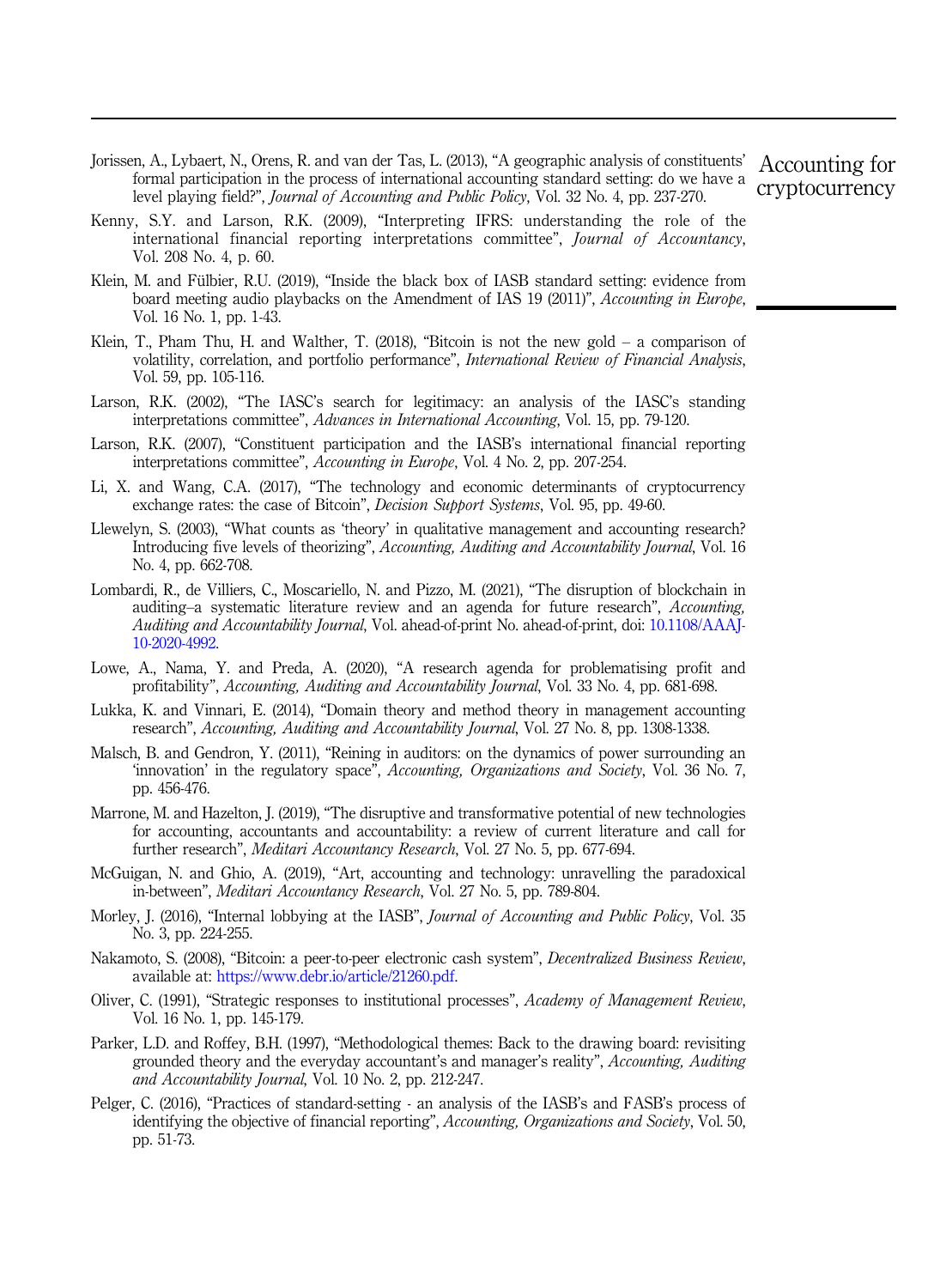<span id="page-24-0"></span>Jorissen, A., Lybaert, N., Orens, R. and van der Tas, L. (2013), "A geographic analysis of constituents' formal participation in the process of international accounting standard setting: do we have a level playing field?", Journal of Accounting and Public Policy, Vol. 32 No. 4, pp. 237-270.

Accounting for cryptocurrency

- Kenny, S.Y. and Larson, R.K. (2009), "Interpreting IFRS: understanding the role of the international financial reporting interpretations committee", Journal of Accountancy, Vol. 208 No. 4, p. 60.
- Klein, M. and Fülbier, R.U. (2019), "Inside the black box of IASB standard setting: evidence from board meeting audio playbacks on the Amendment of IAS 19 (2011)", Accounting in Europe, Vol. 16 No. 1, pp. 1-43.
- Klein, T., Pham Thu, H. and Walther, T. (2018), "Bitcoin is not the new gold  $-$  a comparison of volatility, correlation, and portfolio performance", *International Review of Financial Analysis*, Vol. 59, pp. 105-116.
- Larson, R.K. (2002), "The IASC's search for legitimacy: an analysis of the IASC's standing interpretations committee", Advances in International Accounting, Vol. 15, pp. 79-120.
- Larson, R.K. (2007), "Constituent participation and the IASB's international financial reporting interpretations committee", Accounting in Europe, Vol. 4 No. 2, pp. 207-254.
- Li, X. and Wang, C.A. (2017), "The technology and economic determinants of cryptocurrency exchange rates: the case of Bitcoin", Decision Support Systems, Vol. 95, pp. 49-60.
- Llewelyn, S. (2003), "What counts as 'theory' in qualitative management and accounting research? Introducing five levels of theorizing", Accounting, Auditing and Accountability Journal, Vol. 16 No. 4, pp. 662-708.
- Lombardi, R., de Villiers, C., Moscariello, N. and Pizzo, M. (2021), "The disruption of blockchain in auditing–a systematic literature review and an agenda for future research", Accounting, Auditing and Accountability Journal, Vol. ahead-of-print No. ahead-of-print, doi: [10.1108/AAAJ-](https://doi.org/10.1108/AAAJ-10-2020-4992)[10-2020-4992](https://doi.org/10.1108/AAAJ-10-2020-4992).
- Lowe, A., Nama, Y. and Preda, A. (2020), "A research agenda for problematising profit and profitability", Accounting, Auditing and Accountability Journal, Vol. 33 No. 4, pp. 681-698.
- Lukka, K. and Vinnari, E. (2014), "Domain theory and method theory in management accounting research", Accounting, Auditing and Accountability Journal, Vol. 27 No. 8, pp. 1308-1338.
- Malsch, B. and Gendron, Y. (2011), "Reining in auditors: on the dynamics of power surrounding an 'innovation' in the regulatory space", Accounting, Organizations and Society, Vol. 36 No. 7, pp. 456-476.
- Marrone, M. and Hazelton, J. (2019), "The disruptive and transformative potential of new technologies for accounting, accountants and accountability: a review of current literature and call for further research", Meditari Accountancy Research, Vol. 27 No. 5, pp. 677-694.
- McGuigan, N. and Ghio, A. (2019), "Art, accounting and technology: unravelling the paradoxical in-between", Meditari Accountancy Research, Vol. 27 No. 5, pp. 789-804.
- Morley, J. (2016), "Internal lobbying at the IASB", *Journal of Accounting and Public Policy*, Vol. 35 No. 3, pp. 224-255.
- Nakamoto, S. (2008), "Bitcoin: a peer-to-peer electronic cash system", Decentralized Business Review, available at: <https://www.debr.io/article/21260.pdf>.
- Oliver, C. (1991), "Strategic responses to institutional processes", Academy of Management Review, Vol. 16 No. 1, pp. 145-179.
- Parker, L.D. and Roffey, B.H. (1997), "Methodological themes: Back to the drawing board: revisiting grounded theory and the everyday accountant's and manager's reality", Accounting, Auditing and Accountability Journal, Vol. 10 No. 2, pp. 212-247.
- Pelger, C. (2016), "Practices of standard-setting an analysis of the IASB's and FASB's process of identifying the objective of financial reporting", Accounting, Organizations and Society, Vol. 50, pp. 51-73.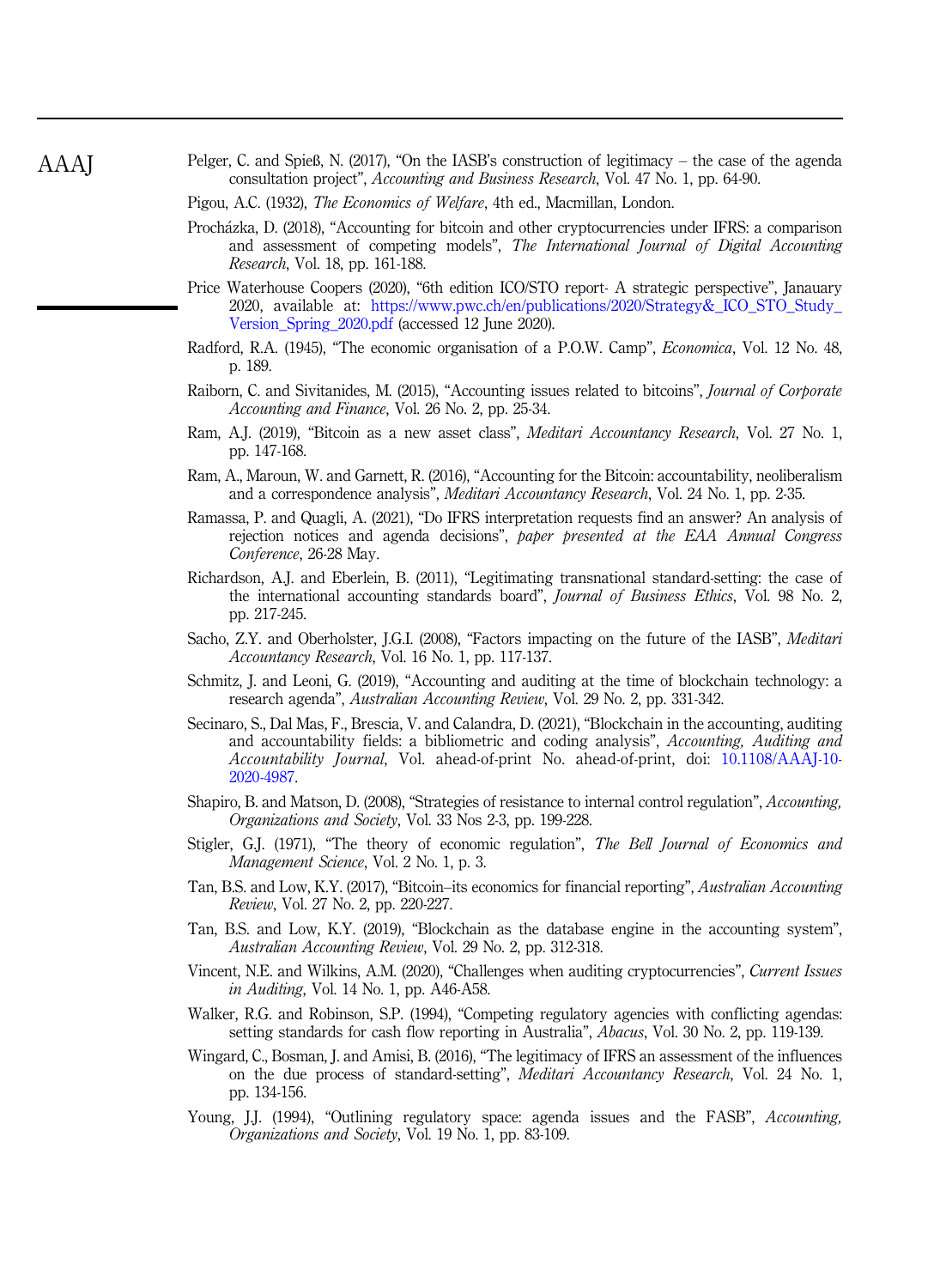- <span id="page-25-0"></span>Pelger, C. and Spieß, N. (2017), "On the IASB's construction of legitimacy – the case of the agenda consultation project", Accounting and Business Research, Vol. 47 No. 1, pp. 64-90.
- Pigou, A.C. (1932), The Economics of Welfare, 4th ed., Macmillan, London.
- Prochazka, D. (2018), "Accounting for bitcoin and other cryptocurrencies under IFRS: a comparison and assessment of competing models", The International Journal of Digital Accounting Research, Vol. 18, pp. 161-188.
- Price Waterhouse Coopers (2020), "6th edition ICO/STO report- A strategic perspective", Janauary 2020, available at: [https://www.pwc.ch/en/publications/2020/Strategy&\\_ICO\\_STO\\_Study\\_](https://www.pwc.ch/en/publications/2020/Strategy&_%20ICO_STO_Study_Version_Spring_2020.pdf) Version Spring 2020.pdf (accessed 12 June 2020).
- Radford, R.A. (1945), "The economic organisation of a P.O.W. Camp", *Economica*, Vol. 12 No. 48, p. 189.
- Raiborn, C. and Sivitanides, M. (2015), "Accounting issues related to bitcoins", Journal of Corporate Accounting and Finance, Vol. 26 No. 2, pp. 25-34.
- Ram, A.J. (2019), "Bitcoin as a new asset class", Meditari Accountancy Research, Vol. 27 No. 1, pp. 147-168.
- Ram, A., Maroun, W. and Garnett, R. (2016), "Accounting for the Bitcoin: accountability, neoliberalism and a correspondence analysis", Meditari Accountancy Research, Vol. 24 No. 1, pp. 2-35.
- Ramassa, P. and Quagli, A. (2021), "Do IFRS interpretation requests find an answer? An analysis of rejection notices and agenda decisions", paper presented at the EAA Annual Congress Conference, 26-28 May.
- Richardson, A.J. and Eberlein, B. (2011), "Legitimating transnational standard-setting: the case of the international accounting standards board", *Journal of Business Ethics*, Vol. 98 No. 2, pp. 217-245.
- Sacho, Z.Y. and Oberholster, J.G.I. (2008), "Factors impacting on the future of the IASB", Meditari Accountancy Research, Vol. 16 No. 1, pp. 117-137.
- Schmitz, J. and Leoni, G. (2019), "Accounting and auditing at the time of blockchain technology: a research agenda", Australian Accounting Review, Vol. 29 No. 2, pp. 331-342.
- Secinaro, S., Dal Mas, F., Brescia, V. and Calandra, D. (2021), "Blockchain in the accounting, auditing and accountability fields: a bibliometric and coding analysis", Accounting, Auditing and Accountability Journal, Vol. ahead-of-print No. ahead-of-print, doi: [10.1108/AAAJ-10-](https://doi.org/10.1108/AAAJ-10-2020-4987) [2020-4987.](https://doi.org/10.1108/AAAJ-10-2020-4987)
- Shapiro, B. and Matson, D. (2008), "Strategies of resistance to internal control regulation", Accounting, Organizations and Society, Vol. 33 Nos 2-3, pp. 199-228.
- Stigler, G.J. (1971), "The theory of economic regulation", The Bell Journal of Economics and Management Science, Vol. 2 No. 1, p. 3.
- Tan, B.S. and Low, K.Y. (2017), "Bitcoin–its economics for financial reporting", Australian Accounting Review, Vol. 27 No. 2, pp. 220-227.
- Tan, B.S. and Low, K.Y. (2019), "Blockchain as the database engine in the accounting system", Australian Accounting Review, Vol. 29 No. 2, pp. 312-318.
- Vincent, N.E. and Wilkins, A.M. (2020), "Challenges when auditing cryptocurrencies", Current Issues in Auditing, Vol. 14 No. 1, pp. A46-A58.
- Walker, R.G. and Robinson, S.P. (1994), "Competing regulatory agencies with conflicting agendas: setting standards for cash flow reporting in Australia", Abacus, Vol. 30 No. 2, pp. 119-139.
- Wingard, C., Bosman, J. and Amisi, B. (2016), "The legitimacy of IFRS an assessment of the influences on the due process of standard-setting", Meditari Accountancy Research, Vol. 24 No. 1, pp. 134-156.
- Young, J.J. (1994), "Outlining regulatory space: agenda issues and the FASB", Accounting, Organizations and Society, Vol. 19 No. 1, pp. 83-109.